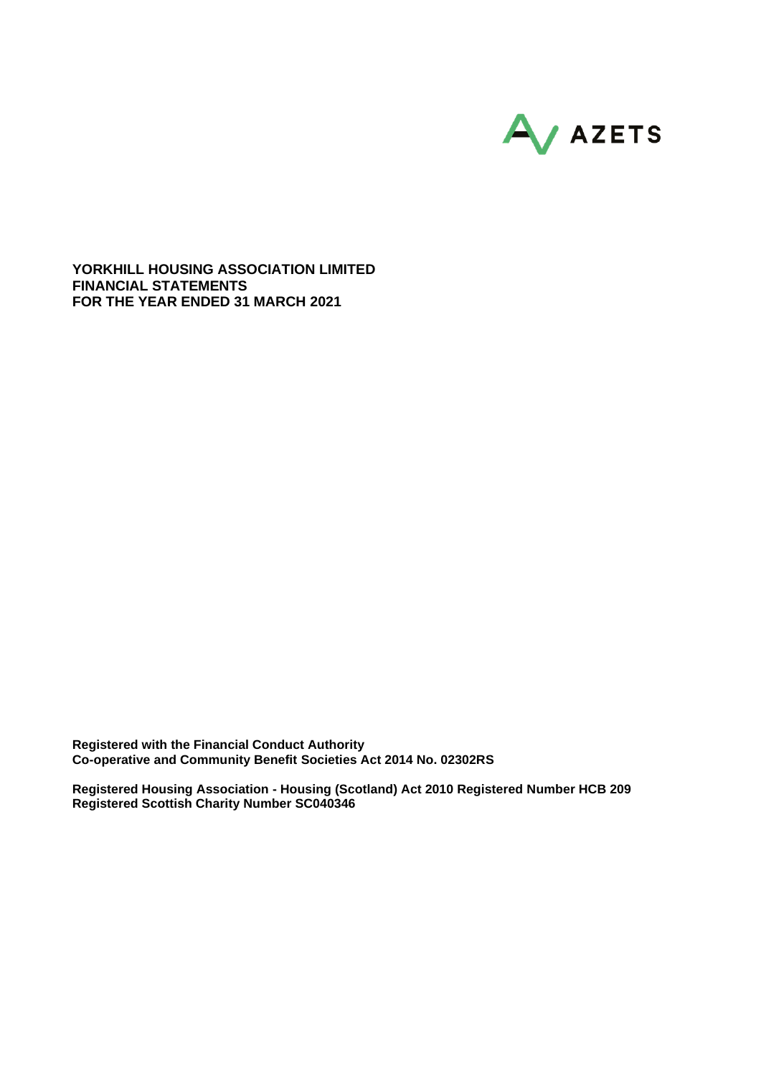

**YORKHILL HOUSING ASSOCIATION LIMITED FINANCIAL STATEMENTS FOR THE YEAR ENDED 31 MARCH 2021**

**Registered with the Financial Conduct Authority Co-operative and Community Benefit Societies Act 2014 No. 02302RS**

**Registered Housing Association - Housing (Scotland) Act 2010 Registered Number HCB 209 Registered Scottish Charity Number SC040346**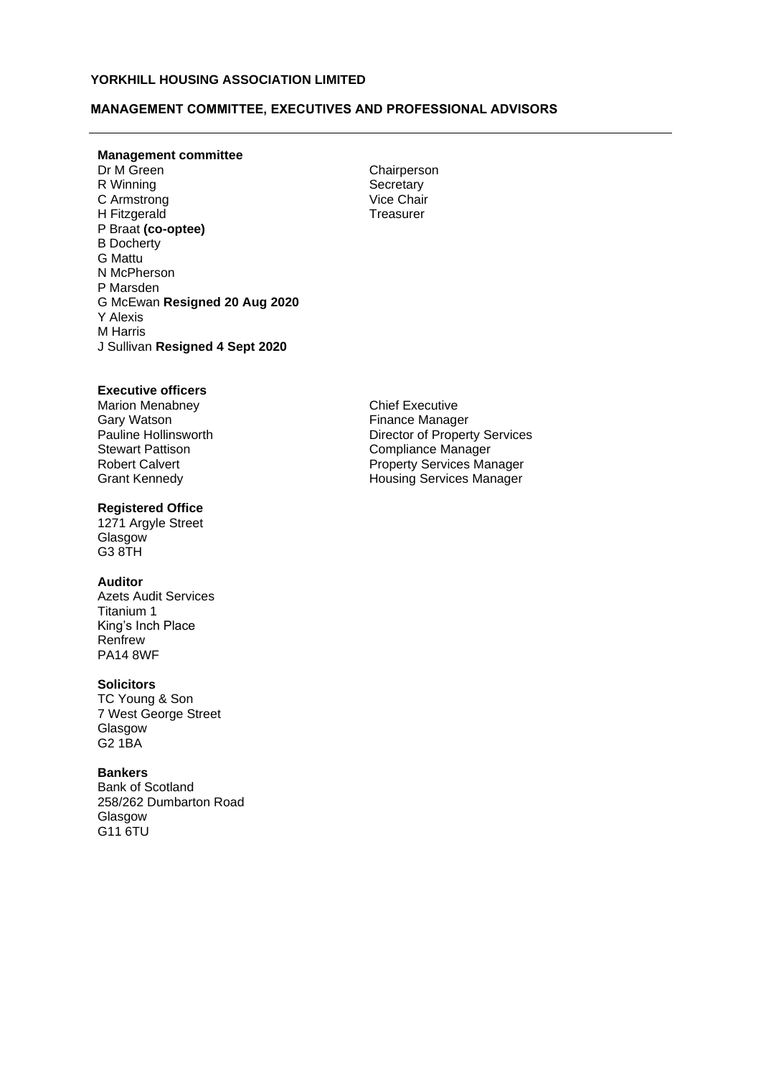## **MANAGEMENT COMMITTEE, EXECUTIVES AND PROFESSIONAL ADVISORS**

# **Management committee**

R Winning Secretary<br>
C Armstrong Secretary<br>
Vice Chair C Armstrong H Fitzgerald P Braat **(co-optee)** B Docherty G Mattu N McPherson P Marsden G McEwan **Resigned 20 Aug 2020** Y Alexis M Harris J Sullivan **Resigned 4 Sept 2020**

Chairperson **Treasurer** 

## **Executive officers**

Marion Menabney **Gary Watson<br>Pauline Hollinsworth** Robert Calvert Grant Kennedy

#### **Registered Office**

1271 Argyle Street **Glasgow** G3 8TH

#### **Auditor**

Azets Audit Services Titanium 1 King's Inch Place Renfrew PA14 8WF

#### **Solicitors**

TC Young & Son 7 West George Street Glasgow G2 1BA

#### **Bankers**

Bank of Scotland 258/262 Dumbarton Road Glasgow G11 6TU

Chief Executive Finance Manager **Director of Property Services** Stewart Pattison **Compliance Manager** Property Services Manager Housing Services Manager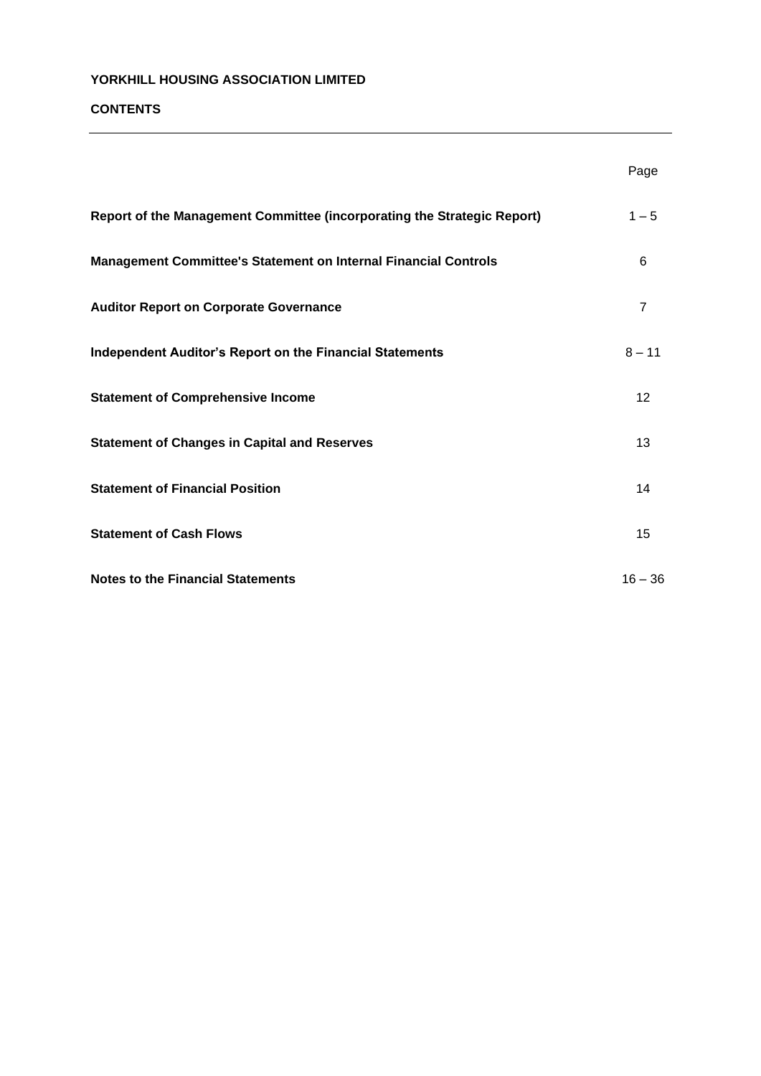<u> 1989 - Johann Barbara, martin amerikan basar dan berasal dalam basa dalam basar dalam basar dalam basa dalam</u>

# **CONTENTS**

|                                                                         | Page           |
|-------------------------------------------------------------------------|----------------|
| Report of the Management Committee (incorporating the Strategic Report) | $1 - 5$        |
| Management Committee's Statement on Internal Financial Controls         | 6              |
| <b>Auditor Report on Corporate Governance</b>                           | $\overline{7}$ |
| <b>Independent Auditor's Report on the Financial Statements</b>         | $8 - 11$       |
| <b>Statement of Comprehensive Income</b>                                | 12             |
| <b>Statement of Changes in Capital and Reserves</b>                     | 13             |
| <b>Statement of Financial Position</b>                                  | 14             |
| <b>Statement of Cash Flows</b>                                          | 15             |
| <b>Notes to the Financial Statements</b>                                | $16 - 36$      |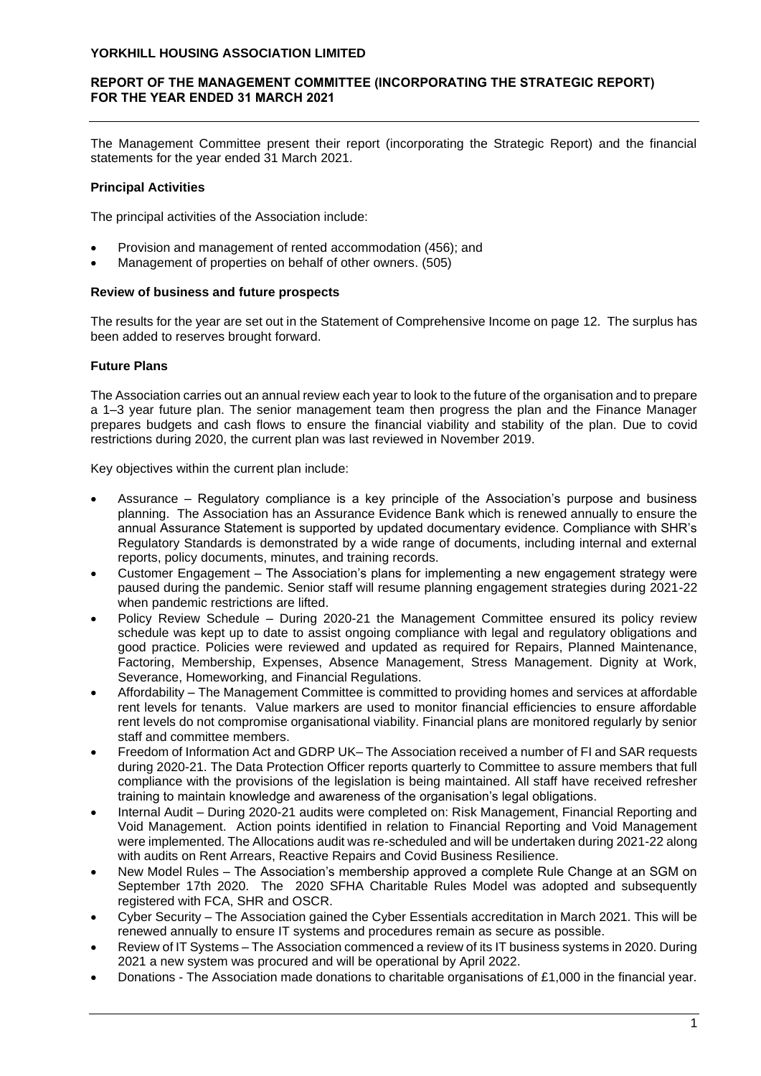# **REPORT OF THE MANAGEMENT COMMITTEE (INCORPORATING THE STRATEGIC REPORT) FOR THE YEAR ENDED 31 MARCH 2021**

The Management Committee present their report (incorporating the Strategic Report) and the financial statements for the year ended 31 March 2021.

## **Principal Activities**

The principal activities of the Association include:

- Provision and management of rented accommodation (456); and
- Management of properties on behalf of other owners. (505)

## **Review of business and future prospects**

The results for the year are set out in the Statement of Comprehensive Income on page 12. The surplus has been added to reserves brought forward.

## **Future Plans**

The Association carries out an annual review each year to look to the future of the organisation and to prepare a 1–3 year future plan. The senior management team then progress the plan and the Finance Manager prepares budgets and cash flows to ensure the financial viability and stability of the plan. Due to covid restrictions during 2020, the current plan was last reviewed in November 2019.

Key objectives within the current plan include:

- Assurance Regulatory compliance is a key principle of the Association's purpose and business planning. The Association has an Assurance Evidence Bank which is renewed annually to ensure the annual Assurance Statement is supported by updated documentary evidence. Compliance with SHR's Regulatory Standards is demonstrated by a wide range of documents, including internal and external reports, policy documents, minutes, and training records.
- Customer Engagement The Association's plans for implementing a new engagement strategy were paused during the pandemic. Senior staff will resume planning engagement strategies during 2021-22 when pandemic restrictions are lifted.
- Policy Review Schedule During 2020-21 the Management Committee ensured its policy review schedule was kept up to date to assist ongoing compliance with legal and regulatory obligations and good practice. Policies were reviewed and updated as required for Repairs, Planned Maintenance, Factoring, Membership, Expenses, Absence Management, Stress Management. Dignity at Work, Severance, Homeworking, and Financial Regulations.
- Affordability The Management Committee is committed to providing homes and services at affordable rent levels for tenants. Value markers are used to monitor financial efficiencies to ensure affordable rent levels do not compromise organisational viability. Financial plans are monitored regularly by senior staff and committee members.
- Freedom of Information Act and GDRP UK– The Association received a number of FI and SAR requests during 2020-21. The Data Protection Officer reports quarterly to Committee to assure members that full compliance with the provisions of the legislation is being maintained. All staff have received refresher training to maintain knowledge and awareness of the organisation's legal obligations.
- Internal Audit During 2020-21 audits were completed on: Risk Management, Financial Reporting and Void Management. Action points identified in relation to Financial Reporting and Void Management were implemented. The Allocations audit was re-scheduled and will be undertaken during 2021-22 along with audits on Rent Arrears, Reactive Repairs and Covid Business Resilience.
- New Model Rules The Association's membership approved a complete Rule Change at an SGM on September 17th 2020. The 2020 SFHA Charitable Rules Model was adopted and subsequently registered with FCA, SHR and OSCR.
- Cyber Security The Association gained the Cyber Essentials accreditation in March 2021. This will be renewed annually to ensure IT systems and procedures remain as secure as possible.
- Review of IT Systems The Association commenced a review of its IT business systems in 2020. During 2021 a new system was procured and will be operational by April 2022.
- Donations The Association made donations to charitable organisations of £1,000 in the financial year.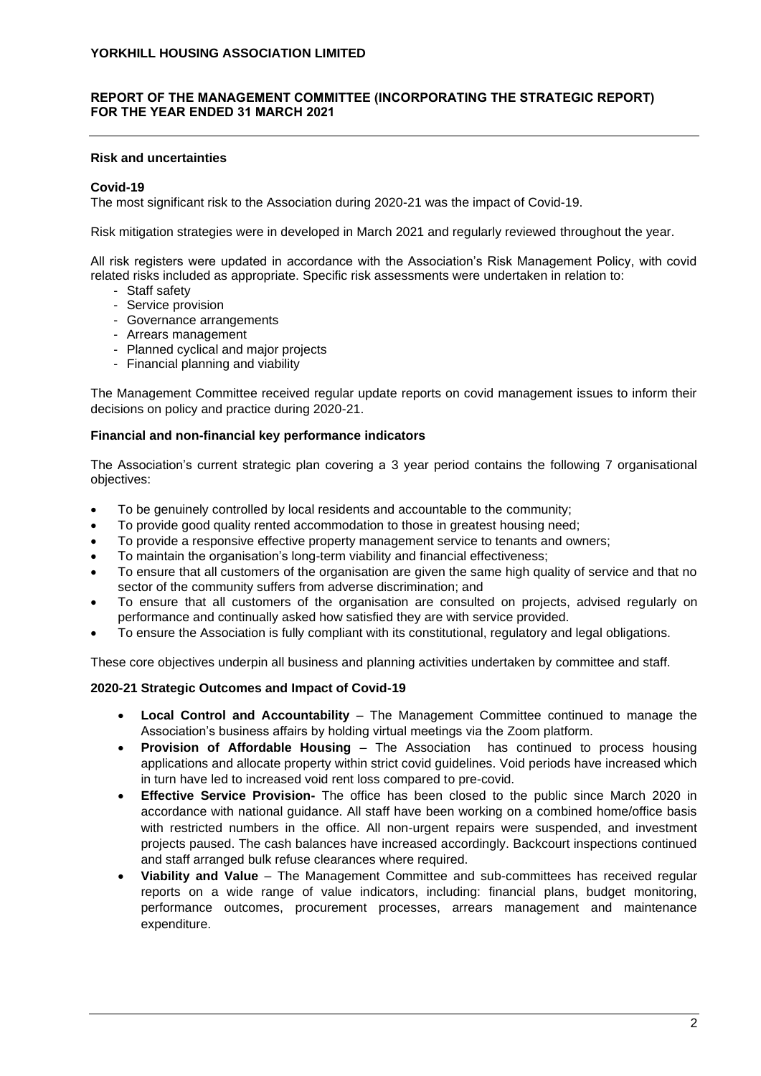## **REPORT OF THE MANAGEMENT COMMITTEE (INCORPORATING THE STRATEGIC REPORT) FOR THE YEAR ENDED 31 MARCH 2021**

## **Risk and uncertainties**

## **Covid-19**

The most significant risk to the Association during 2020-21 was the impact of Covid-19.

Risk mitigation strategies were in developed in March 2021 and regularly reviewed throughout the year.

All risk registers were updated in accordance with the Association's Risk Management Policy, with covid related risks included as appropriate. Specific risk assessments were undertaken in relation to:

- Staff safety
- Service provision
- Governance arrangements
- Arrears management
- Planned cyclical and major projects
- Financial planning and viability

The Management Committee received regular update reports on covid management issues to inform their decisions on policy and practice during 2020-21.

#### **Financial and non-financial key performance indicators**

The Association's current strategic plan covering a 3 year period contains the following 7 organisational objectives:

- To be genuinely controlled by local residents and accountable to the community;
- To provide good quality rented accommodation to those in greatest housing need;
- To provide a responsive effective property management service to tenants and owners;
- To maintain the organisation's long-term viability and financial effectiveness;
- To ensure that all customers of the organisation are given the same high quality of service and that no sector of the community suffers from adverse discrimination; and
- To ensure that all customers of the organisation are consulted on projects, advised regularly on performance and continually asked how satisfied they are with service provided.
- To ensure the Association is fully compliant with its constitutional, regulatory and legal obligations.

These core objectives underpin all business and planning activities undertaken by committee and staff.

## **2020-21 Strategic Outcomes and Impact of Covid-19**

- **Local Control and Accountability**  The Management Committee continued to manage the Association's business affairs by holding virtual meetings via the Zoom platform.
- **Provision of Affordable Housing** The Association has continued to process housing applications and allocate property within strict covid guidelines. Void periods have increased which in turn have led to increased void rent loss compared to pre-covid.
- **Effective Service Provision-** The office has been closed to the public since March 2020 in accordance with national guidance. All staff have been working on a combined home/office basis with restricted numbers in the office. All non-urgent repairs were suspended, and investment projects paused. The cash balances have increased accordingly. Backcourt inspections continued and staff arranged bulk refuse clearances where required.
- **Viability and Value** The Management Committee and sub-committees has received regular reports on a wide range of value indicators, including: financial plans, budget monitoring, performance outcomes, procurement processes, arrears management and maintenance expenditure.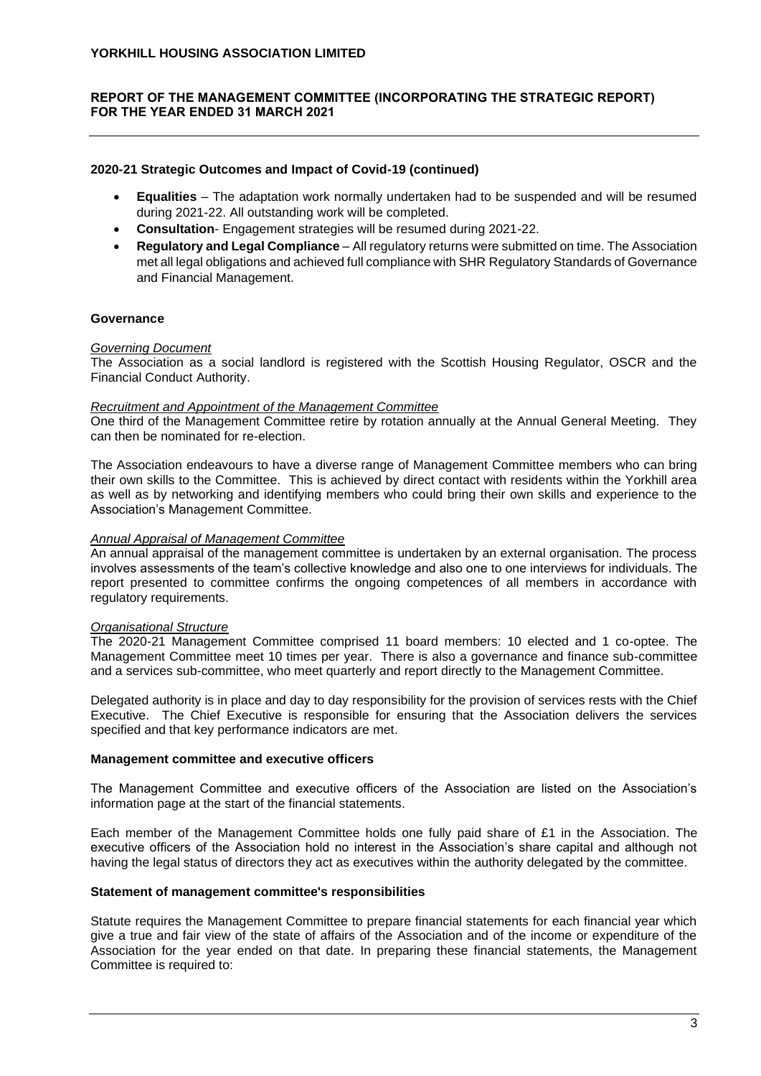## **REPORT OF THE MANAGEMENT COMMITTEE (INCORPORATING THE STRATEGIC REPORT) FOR THE YEAR ENDED 31 MARCH 2021**

## **2020-21 Strategic Outcomes and Impact of Covid-19 (continued)**

- **Equalities**  The adaptation work normally undertaken had to be suspended and will be resumed during 2021-22. All outstanding work will be completed.
- **Consultation** Engagement strategies will be resumed during 2021-22.
- **Regulatory and Legal Compliance** All regulatory returns were submitted on time. The Association met all legal obligations and achieved full compliance with SHR Regulatory Standards of Governance and Financial Management.

# **Governance**

#### *Governing Document*

The Association as a social landlord is registered with the Scottish Housing Regulator, OSCR and the Financial Conduct Authority.

#### *Recruitment and Appointment of the Management Committee*

One third of the Management Committee retire by rotation annually at the Annual General Meeting. They can then be nominated for re-election.

The Association endeavours to have a diverse range of Management Committee members who can bring their own skills to the Committee. This is achieved by direct contact with residents within the Yorkhill area as well as by networking and identifying members who could bring their own skills and experience to the Association's Management Committee.

## *Annual Appraisal of Management Committee*

An annual appraisal of the management committee is undertaken by an external organisation. The process involves assessments of the team's collective knowledge and also one to one interviews for individuals. The report presented to committee confirms the ongoing competences of all members in accordance with regulatory requirements.

#### *Organisational Structure*

The 2020-21 Management Committee comprised 11 board members: 10 elected and 1 co-optee. The Management Committee meet 10 times per year. There is also a governance and finance sub-committee and a services sub-committee, who meet quarterly and report directly to the Management Committee.

Delegated authority is in place and day to day responsibility for the provision of services rests with the Chief Executive. The Chief Executive is responsible for ensuring that the Association delivers the services specified and that key performance indicators are met.

#### **Management committee and executive officers**

The Management Committee and executive officers of the Association are listed on the Association's information page at the start of the financial statements.

Each member of the Management Committee holds one fully paid share of £1 in the Association. The executive officers of the Association hold no interest in the Association's share capital and although not having the legal status of directors they act as executives within the authority delegated by the committee.

#### **Statement of management committee's responsibilities**

Statute requires the Management Committee to prepare financial statements for each financial year which give a true and fair view of the state of affairs of the Association and of the income or expenditure of the Association for the year ended on that date. In preparing these financial statements, the Management Committee is required to: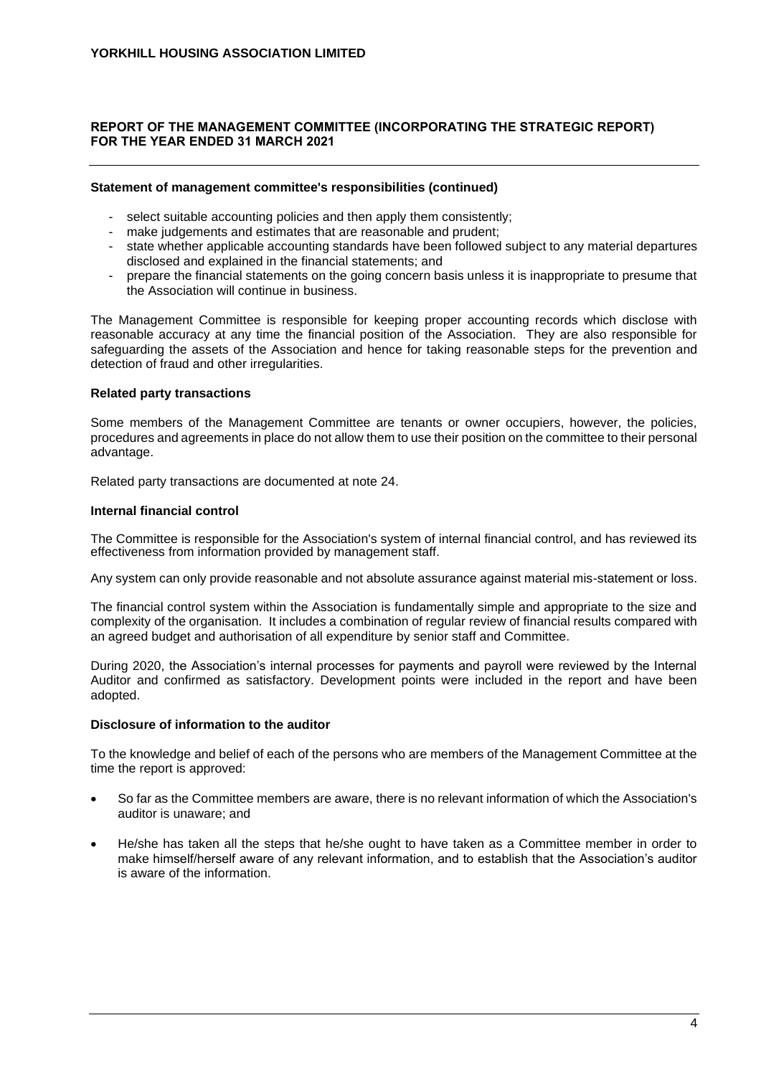# **REPORT OF THE MANAGEMENT COMMITTEE (INCORPORATING THE STRATEGIC REPORT) FOR THE YEAR ENDED 31 MARCH 2021**

#### **Statement of management committee's responsibilities (continued)**

- select suitable accounting policies and then apply them consistently;
- make judgements and estimates that are reasonable and prudent;
- state whether applicable accounting standards have been followed subject to any material departures disclosed and explained in the financial statements; and
- prepare the financial statements on the going concern basis unless it is inappropriate to presume that the Association will continue in business.

The Management Committee is responsible for keeping proper accounting records which disclose with reasonable accuracy at any time the financial position of the Association. They are also responsible for safeguarding the assets of the Association and hence for taking reasonable steps for the prevention and detection of fraud and other irregularities.

## **Related party transactions**

Some members of the Management Committee are tenants or owner occupiers, however, the policies, procedures and agreements in place do not allow them to use their position on the committee to their personal advantage.

Related party transactions are documented at note 24.

#### **Internal financial control**

The Committee is responsible for the Association's system of internal financial control, and has reviewed its effectiveness from information provided by management staff.

Any system can only provide reasonable and not absolute assurance against material mis-statement or loss.

The financial control system within the Association is fundamentally simple and appropriate to the size and complexity of the organisation. It includes a combination of regular review of financial results compared with an agreed budget and authorisation of all expenditure by senior staff and Committee.

During 2020, the Association's internal processes for payments and payroll were reviewed by the Internal Auditor and confirmed as satisfactory. Development points were included in the report and have been adopted.

## **Disclosure of information to the auditor**

To the knowledge and belief of each of the persons who are members of the Management Committee at the time the report is approved:

- So far as the Committee members are aware, there is no relevant information of which the Association's auditor is unaware; and
- He/she has taken all the steps that he/she ought to have taken as a Committee member in order to make himself/herself aware of any relevant information, and to establish that the Association's auditor is aware of the information.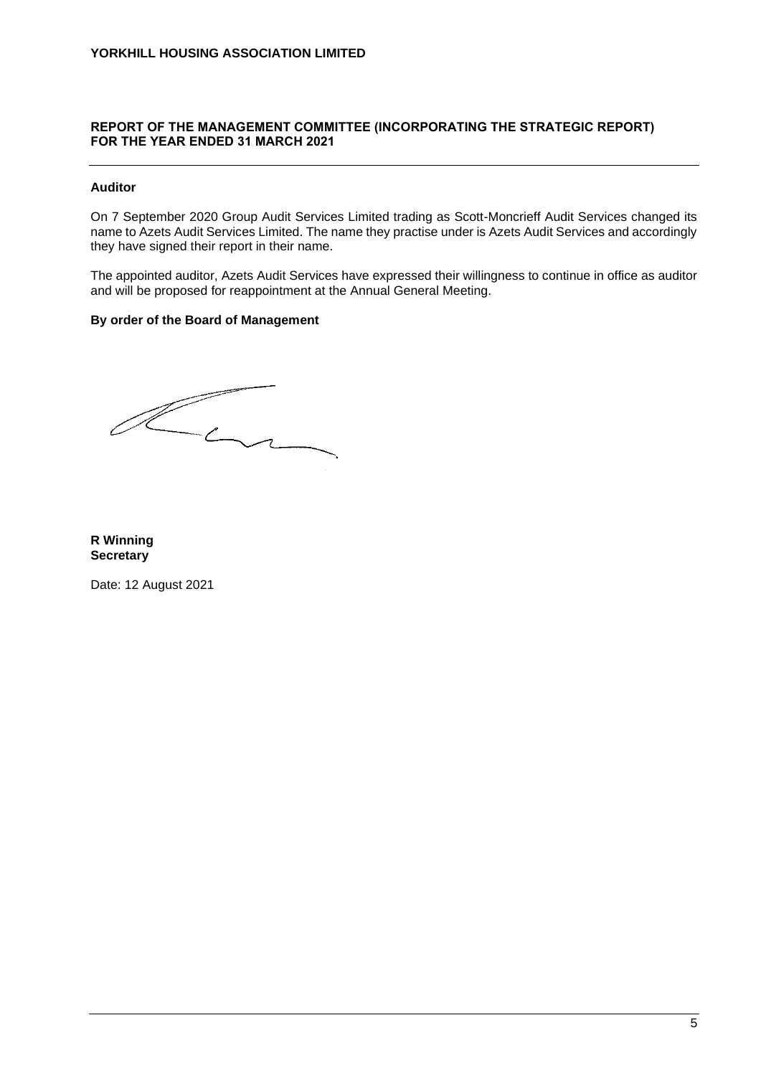# **REPORT OF THE MANAGEMENT COMMITTEE (INCORPORATING THE STRATEGIC REPORT) FOR THE YEAR ENDED 31 MARCH 2021**

## **Auditor**

On 7 September 2020 Group Audit Services Limited trading as Scott-Moncrieff Audit Services changed its name to Azets Audit Services Limited. The name they practise under is Azets Audit Services and accordingly they have signed their report in their name.

The appointed auditor, Azets Audit Services have expressed their willingness to continue in office as auditor and will be proposed for reappointment at the Annual General Meeting.

## **By order of the Board of Management**

 $\mathbb{Z}$ La

**R Winning Secretary**

Date: 12 August 2021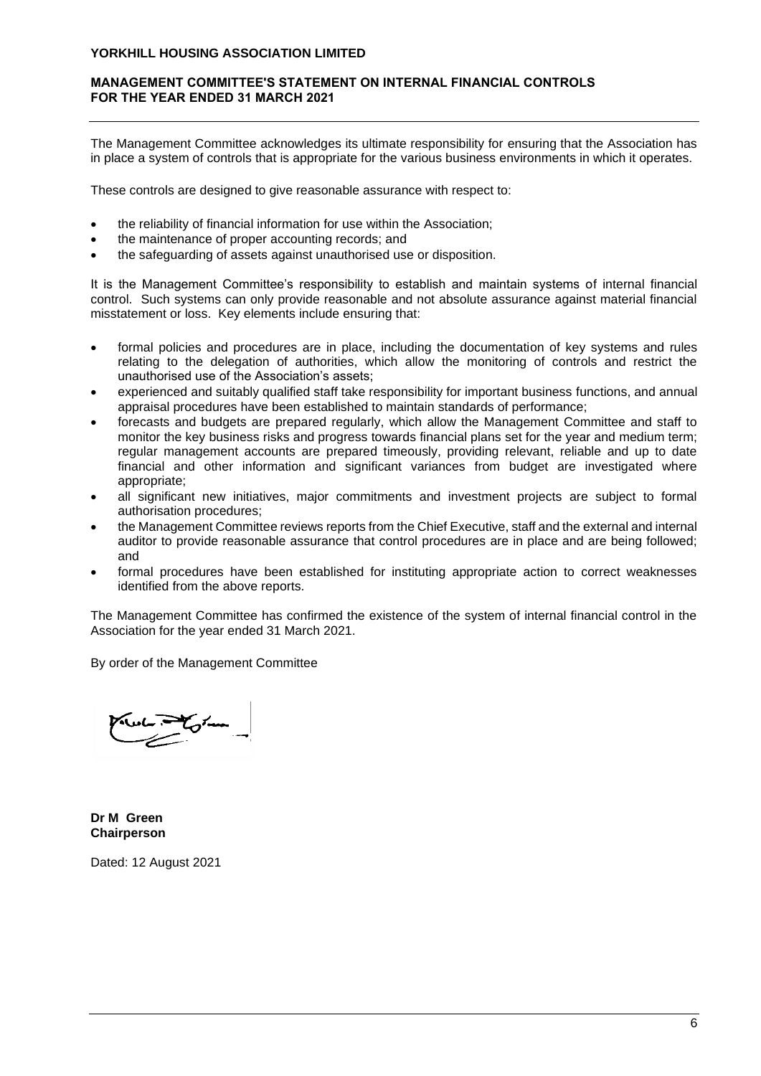## **MANAGEMENT COMMITTEE'S STATEMENT ON INTERNAL FINANCIAL CONTROLS FOR THE YEAR ENDED 31 MARCH 2021**

The Management Committee acknowledges its ultimate responsibility for ensuring that the Association has in place a system of controls that is appropriate for the various business environments in which it operates.

These controls are designed to give reasonable assurance with respect to:

- the reliability of financial information for use within the Association;
- the maintenance of proper accounting records; and
- the safeguarding of assets against unauthorised use or disposition.

It is the Management Committee's responsibility to establish and maintain systems of internal financial control. Such systems can only provide reasonable and not absolute assurance against material financial misstatement or loss. Key elements include ensuring that:

- formal policies and procedures are in place, including the documentation of key systems and rules relating to the delegation of authorities, which allow the monitoring of controls and restrict the unauthorised use of the Association's assets;
- experienced and suitably qualified staff take responsibility for important business functions, and annual appraisal procedures have been established to maintain standards of performance;
- forecasts and budgets are prepared regularly, which allow the Management Committee and staff to monitor the key business risks and progress towards financial plans set for the year and medium term; regular management accounts are prepared timeously, providing relevant, reliable and up to date financial and other information and significant variances from budget are investigated where appropriate;
- all significant new initiatives, major commitments and investment projects are subject to formal authorisation procedures;
- the Management Committee reviews reports from the Chief Executive, staff and the external and internal auditor to provide reasonable assurance that control procedures are in place and are being followed; and
- formal procedures have been established for instituting appropriate action to correct weaknesses identified from the above reports.

The Management Committee has confirmed the existence of the system of internal financial control in the Association for the year ended 31 March 2021.

By order of the Management Committee

tom

**Dr M Green Chairperson**

Dated: 12 August 2021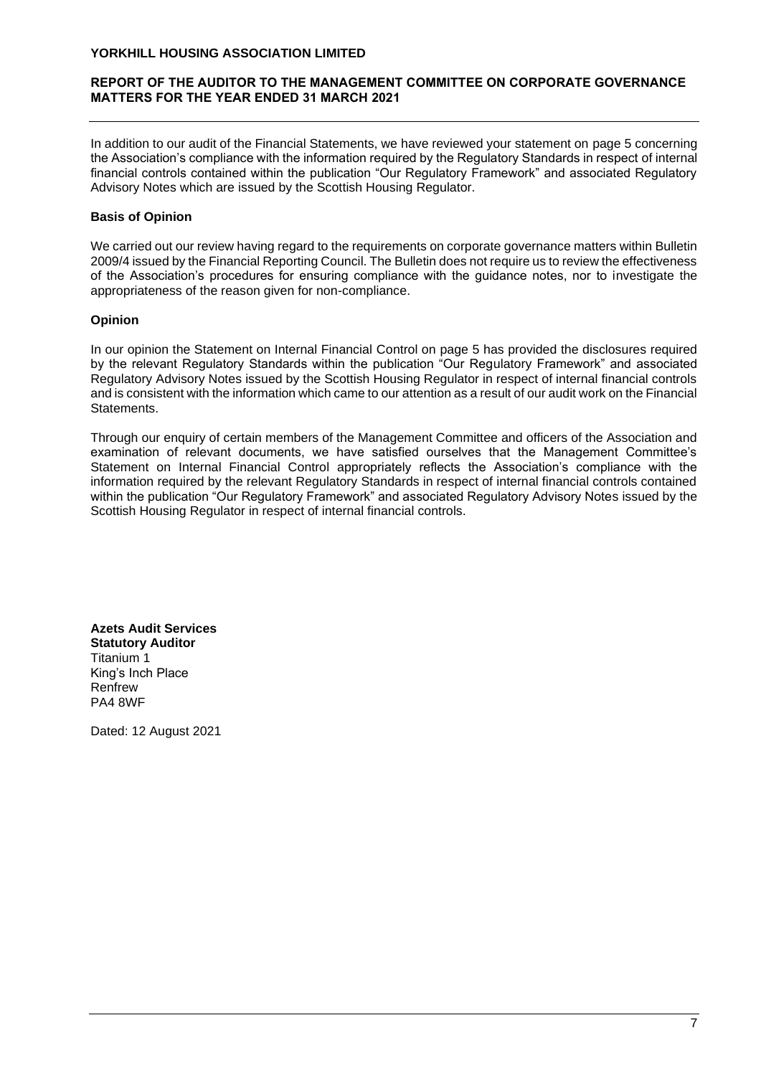## **REPORT OF THE AUDITOR TO THE MANAGEMENT COMMITTEE ON CORPORATE GOVERNANCE MATTERS FOR THE YEAR ENDED 31 MARCH 2021**

In addition to our audit of the Financial Statements, we have reviewed your statement on page 5 concerning the Association's compliance with the information required by the Regulatory Standards in respect of internal financial controls contained within the publication "Our Regulatory Framework" and associated Regulatory Advisory Notes which are issued by the Scottish Housing Regulator.

# **Basis of Opinion**

We carried out our review having regard to the requirements on corporate governance matters within Bulletin 2009/4 issued by the Financial Reporting Council. The Bulletin does not require us to review the effectiveness of the Association's procedures for ensuring compliance with the guidance notes, nor to investigate the appropriateness of the reason given for non-compliance.

# **Opinion**

In our opinion the Statement on Internal Financial Control on page 5 has provided the disclosures required by the relevant Regulatory Standards within the publication "Our Regulatory Framework" and associated Regulatory Advisory Notes issued by the Scottish Housing Regulator in respect of internal financial controls and is consistent with the information which came to our attention as a result of our audit work on the Financial Statements.

Through our enquiry of certain members of the Management Committee and officers of the Association and examination of relevant documents, we have satisfied ourselves that the Management Committee's Statement on Internal Financial Control appropriately reflects the Association's compliance with the information required by the relevant Regulatory Standards in respect of internal financial controls contained within the publication "Our Regulatory Framework" and associated Regulatory Advisory Notes issued by the Scottish Housing Regulator in respect of internal financial controls.

**Azets Audit Services Statutory Auditor** Titanium 1 King's Inch Place Renfrew PA4 8WF

Dated: 12 August 2021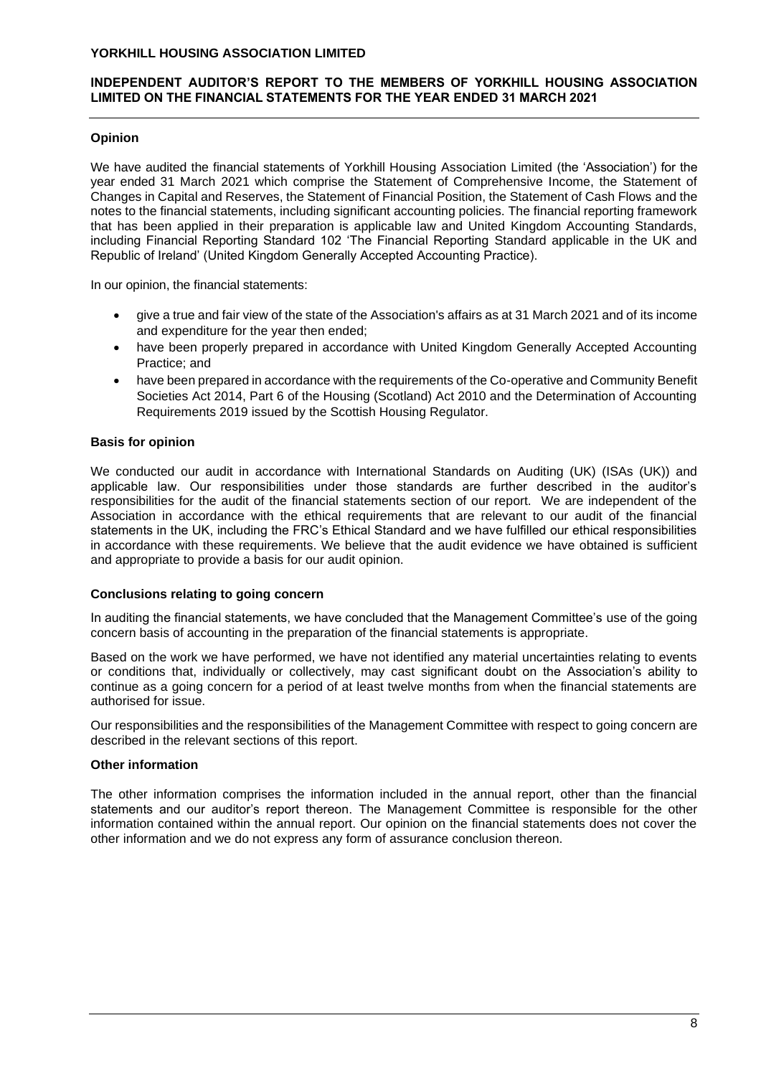## **INDEPENDENT AUDITOR'S REPORT TO THE MEMBERS OF YORKHILL HOUSING ASSOCIATION LIMITED ON THE FINANCIAL STATEMENTS FOR THE YEAR ENDED 31 MARCH 2021**

## **Opinion**

We have audited the financial statements of Yorkhill Housing Association Limited (the 'Association') for the year ended 31 March 2021 which comprise the Statement of Comprehensive Income, the Statement of Changes in Capital and Reserves, the Statement of Financial Position, the Statement of Cash Flows and the notes to the financial statements, including significant accounting policies. The financial reporting framework that has been applied in their preparation is applicable law and United Kingdom Accounting Standards, including Financial Reporting Standard 102 'The Financial Reporting Standard applicable in the UK and Republic of Ireland' (United Kingdom Generally Accepted Accounting Practice).

In our opinion, the financial statements:

- give a true and fair view of the state of the Association's affairs as at 31 March 2021 and of its income and expenditure for the year then ended;
- have been properly prepared in accordance with United Kingdom Generally Accepted Accounting Practice; and
- have been prepared in accordance with the requirements of the Co-operative and Community Benefit Societies Act 2014, Part 6 of the Housing (Scotland) Act 2010 and the Determination of Accounting Requirements 2019 issued by the Scottish Housing Regulator.

## **Basis for opinion**

We conducted our audit in accordance with International Standards on Auditing (UK) (ISAs (UK)) and applicable law. Our responsibilities under those standards are further described in the auditor's responsibilities for the audit of the financial statements section of our report. We are independent of the Association in accordance with the ethical requirements that are relevant to our audit of the financial statements in the UK, including the FRC's Ethical Standard and we have fulfilled our ethical responsibilities in accordance with these requirements. We believe that the audit evidence we have obtained is sufficient and appropriate to provide a basis for our audit opinion.

## **Conclusions relating to going concern**

In auditing the financial statements, we have concluded that the Management Committee's use of the going concern basis of accounting in the preparation of the financial statements is appropriate.

Based on the work we have performed, we have not identified any material uncertainties relating to events or conditions that, individually or collectively, may cast significant doubt on the Association's ability to continue as a going concern for a period of at least twelve months from when the financial statements are authorised for issue.

Our responsibilities and the responsibilities of the Management Committee with respect to going concern are described in the relevant sections of this report.

#### **Other information**

The other information comprises the information included in the annual report, other than the financial statements and our auditor's report thereon. The Management Committee is responsible for the other information contained within the annual report. Our opinion on the financial statements does not cover the other information and we do not express any form of assurance conclusion thereon.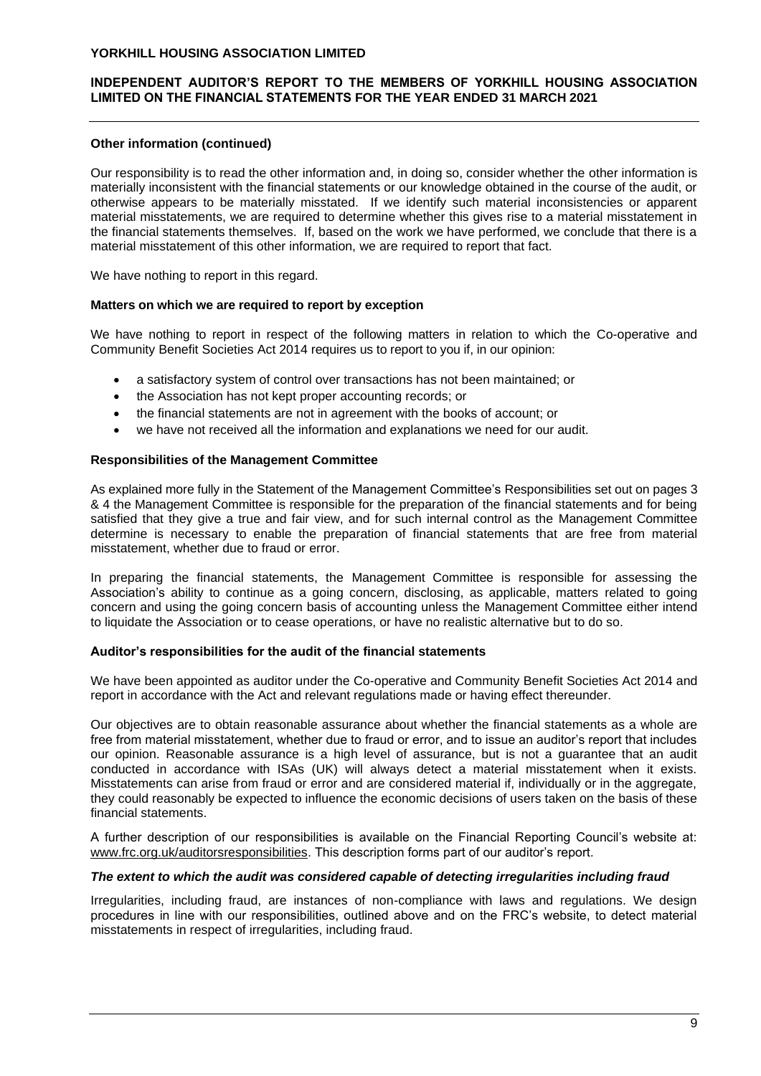## **INDEPENDENT AUDITOR'S REPORT TO THE MEMBERS OF YORKHILL HOUSING ASSOCIATION LIMITED ON THE FINANCIAL STATEMENTS FOR THE YEAR ENDED 31 MARCH 2021**

#### **Other information (continued)**

Our responsibility is to read the other information and, in doing so, consider whether the other information is materially inconsistent with the financial statements or our knowledge obtained in the course of the audit, or otherwise appears to be materially misstated. If we identify such material inconsistencies or apparent material misstatements, we are required to determine whether this gives rise to a material misstatement in the financial statements themselves. If, based on the work we have performed, we conclude that there is a material misstatement of this other information, we are required to report that fact.

We have nothing to report in this regard.

#### **Matters on which we are required to report by exception**

We have nothing to report in respect of the following matters in relation to which the Co-operative and Community Benefit Societies Act 2014 requires us to report to you if, in our opinion:

- a satisfactory system of control over transactions has not been maintained; or
- the Association has not kept proper accounting records; or
- the financial statements are not in agreement with the books of account; or
- we have not received all the information and explanations we need for our audit.

#### **Responsibilities of the Management Committee**

As explained more fully in the Statement of the Management Committee's Responsibilities set out on pages 3 & 4 the Management Committee is responsible for the preparation of the financial statements and for being satisfied that they give a true and fair view, and for such internal control as the Management Committee determine is necessary to enable the preparation of financial statements that are free from material misstatement, whether due to fraud or error.

In preparing the financial statements, the Management Committee is responsible for assessing the Association's ability to continue as a going concern, disclosing, as applicable, matters related to going concern and using the going concern basis of accounting unless the Management Committee either intend to liquidate the Association or to cease operations, or have no realistic alternative but to do so.

#### **Auditor's responsibilities for the audit of the financial statements**

We have been appointed as auditor under the Co-operative and Community Benefit Societies Act 2014 and report in accordance with the Act and relevant regulations made or having effect thereunder.

Our objectives are to obtain reasonable assurance about whether the financial statements as a whole are free from material misstatement, whether due to fraud or error, and to issue an auditor's report that includes our opinion. Reasonable assurance is a high level of assurance, but is not a guarantee that an audit conducted in accordance with ISAs (UK) will always detect a material misstatement when it exists. Misstatements can arise from fraud or error and are considered material if, individually or in the aggregate, they could reasonably be expected to influence the economic decisions of users taken on the basis of these financial statements.

A further description of our responsibilities is available on the Financial Reporting Council's website at: [www.frc.org.uk/auditorsresponsibilities.](http://www.frc.org.uk/auditorsresponsibilities) This description forms part of our auditor's report.

#### *The extent to which the audit was considered capable of detecting irregularities including fraud*

Irregularities, including fraud, are instances of non-compliance with laws and regulations. We design procedures in line with our responsibilities, outlined above and on the FRC's website, to detect material misstatements in respect of irregularities, including fraud.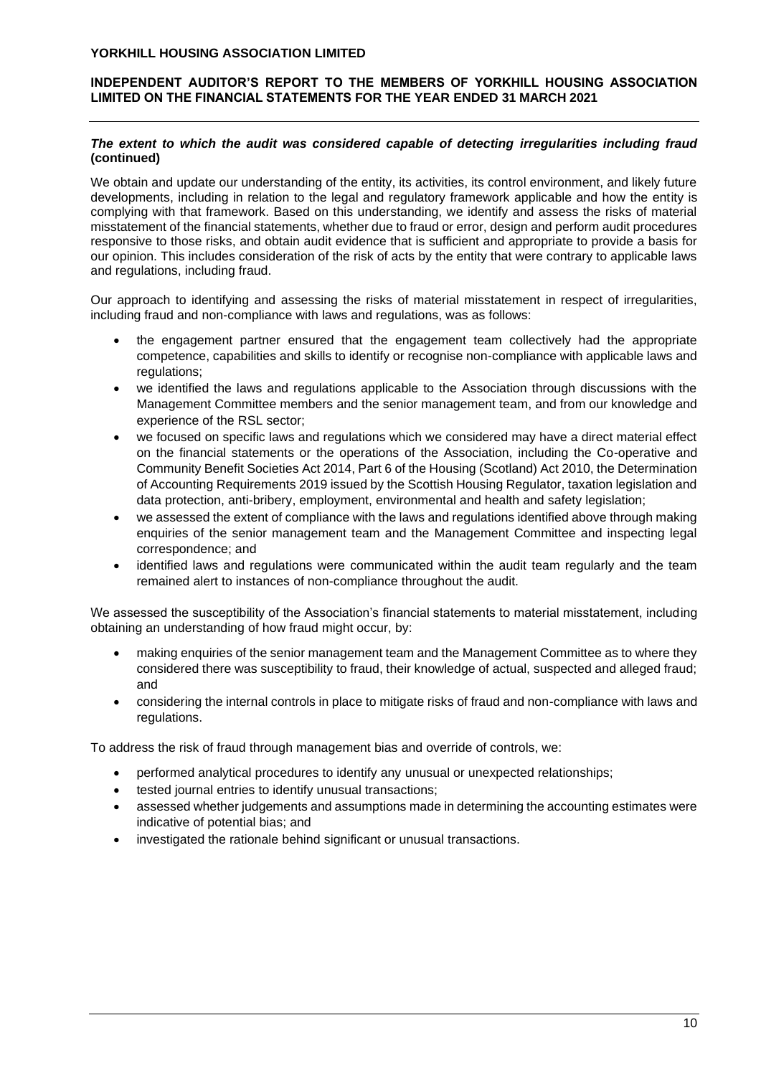## **INDEPENDENT AUDITOR'S REPORT TO THE MEMBERS OF YORKHILL HOUSING ASSOCIATION LIMITED ON THE FINANCIAL STATEMENTS FOR THE YEAR ENDED 31 MARCH 2021**

## *The extent to which the audit was considered capable of detecting irregularities including fraud* **(continued)**

We obtain and update our understanding of the entity, its activities, its control environment, and likely future developments, including in relation to the legal and regulatory framework applicable and how the entity is complying with that framework. Based on this understanding, we identify and assess the risks of material misstatement of the financial statements, whether due to fraud or error, design and perform audit procedures responsive to those risks, and obtain audit evidence that is sufficient and appropriate to provide a basis for our opinion. This includes consideration of the risk of acts by the entity that were contrary to applicable laws and regulations, including fraud.

Our approach to identifying and assessing the risks of material misstatement in respect of irregularities, including fraud and non-compliance with laws and regulations, was as follows:

- the engagement partner ensured that the engagement team collectively had the appropriate competence, capabilities and skills to identify or recognise non-compliance with applicable laws and regulations:
- we identified the laws and regulations applicable to the Association through discussions with the Management Committee members and the senior management team, and from our knowledge and experience of the RSL sector;
- we focused on specific laws and regulations which we considered may have a direct material effect on the financial statements or the operations of the Association, including the Co-operative and Community Benefit Societies Act 2014, Part 6 of the Housing (Scotland) Act 2010, the Determination of Accounting Requirements 2019 issued by the Scottish Housing Regulator, taxation legislation and data protection, anti-bribery, employment, environmental and health and safety legislation;
- we assessed the extent of compliance with the laws and regulations identified above through making enquiries of the senior management team and the Management Committee and inspecting legal correspondence; and
- identified laws and regulations were communicated within the audit team regularly and the team remained alert to instances of non-compliance throughout the audit.

We assessed the susceptibility of the Association's financial statements to material misstatement, including obtaining an understanding of how fraud might occur, by:

- making enquiries of the senior management team and the Management Committee as to where they considered there was susceptibility to fraud, their knowledge of actual, suspected and alleged fraud; and
- considering the internal controls in place to mitigate risks of fraud and non-compliance with laws and regulations.

To address the risk of fraud through management bias and override of controls, we:

- performed analytical procedures to identify any unusual or unexpected relationships;
- tested journal entries to identify unusual transactions;
- assessed whether judgements and assumptions made in determining the accounting estimates were indicative of potential bias; and
- investigated the rationale behind significant or unusual transactions.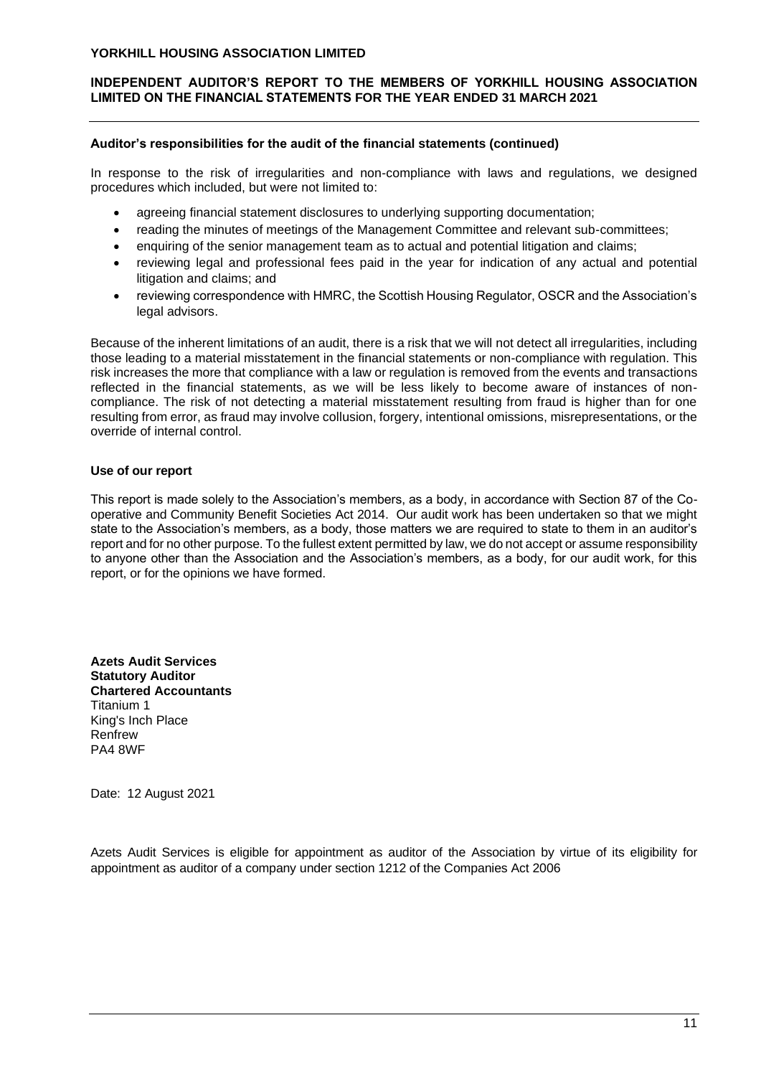## **INDEPENDENT AUDITOR'S REPORT TO THE MEMBERS OF YORKHILL HOUSING ASSOCIATION LIMITED ON THE FINANCIAL STATEMENTS FOR THE YEAR ENDED 31 MARCH 2021**

#### **Auditor's responsibilities for the audit of the financial statements (continued)**

In response to the risk of irregularities and non-compliance with laws and regulations, we designed procedures which included, but were not limited to:

- agreeing financial statement disclosures to underlying supporting documentation;
- reading the minutes of meetings of the Management Committee and relevant sub-committees;
- enquiring of the senior management team as to actual and potential litigation and claims;
- reviewing legal and professional fees paid in the year for indication of any actual and potential litigation and claims; and
- reviewing correspondence with HMRC, the Scottish Housing Regulator, OSCR and the Association's legal advisors.

Because of the inherent limitations of an audit, there is a risk that we will not detect all irregularities, including those leading to a material misstatement in the financial statements or non-compliance with regulation. This risk increases the more that compliance with a law or regulation is removed from the events and transactions reflected in the financial statements, as we will be less likely to become aware of instances of noncompliance. The risk of not detecting a material misstatement resulting from fraud is higher than for one resulting from error, as fraud may involve collusion, forgery, intentional omissions, misrepresentations, or the override of internal control.

#### **Use of our report**

This report is made solely to the Association's members, as a body, in accordance with Section 87 of the Cooperative and Community Benefit Societies Act 2014. Our audit work has been undertaken so that we might state to the Association's members, as a body, those matters we are required to state to them in an auditor's report and for no other purpose. To the fullest extent permitted by law, we do not accept or assume responsibility to anyone other than the Association and the Association's members, as a body, for our audit work, for this report, or for the opinions we have formed.

**Azets Audit Services Statutory Auditor Chartered Accountants** Titanium 1 King's Inch Place Renfrew PA4 8WF

Date: 12 August 2021

Azets Audit Services is eligible for appointment as auditor of the Association by virtue of its eligibility for appointment as auditor of a company under section 1212 of the Companies Act 2006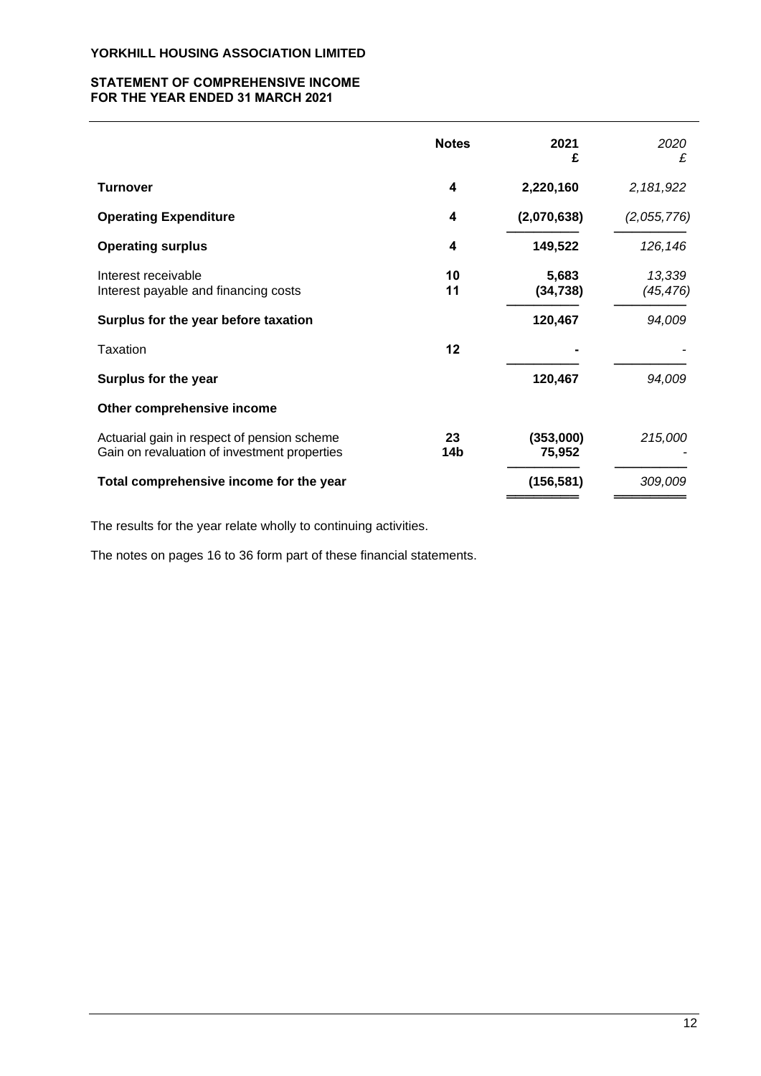## **STATEMENT OF COMPREHENSIVE INCOME FOR THE YEAR ENDED 31 MARCH 2021**

|                                                                                             | <b>Notes</b> | 2021<br>£           | 2020<br>£           |
|---------------------------------------------------------------------------------------------|--------------|---------------------|---------------------|
| <b>Turnover</b>                                                                             | 4            | 2,220,160           | 2,181,922           |
| <b>Operating Expenditure</b>                                                                | 4            | (2,070,638)         | (2,055,776)         |
| <b>Operating surplus</b>                                                                    | 4            | 149,522             | 126, 146            |
| Interest receivable<br>Interest payable and financing costs                                 | 10<br>11     | 5,683<br>(34, 738)  | 13,339<br>(45, 476) |
| Surplus for the year before taxation                                                        |              | 120,467             | 94,009              |
| Taxation                                                                                    | 12           |                     |                     |
| Surplus for the year                                                                        |              | 120,467             | 94,009              |
| Other comprehensive income                                                                  |              |                     |                     |
| Actuarial gain in respect of pension scheme<br>Gain on revaluation of investment properties | 23<br>14b    | (353,000)<br>75,952 | 215,000             |
| Total comprehensive income for the year                                                     |              | (156, 581)          | 309,009             |

The results for the year relate wholly to continuing activities.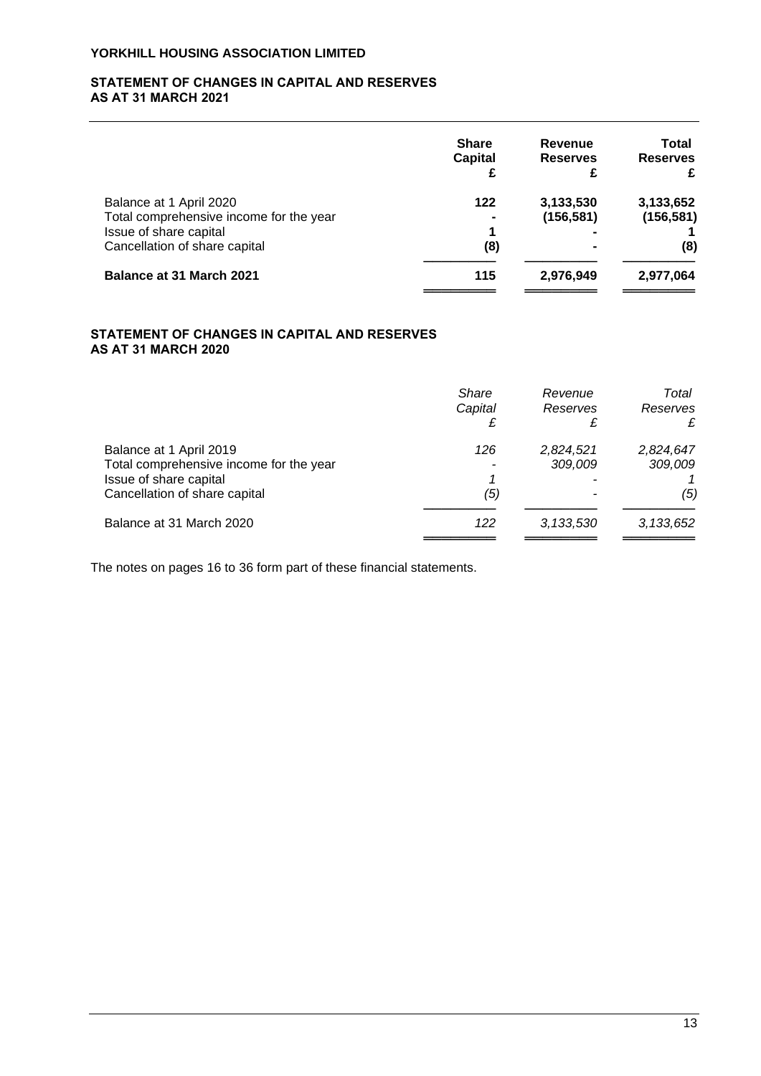## **STATEMENT OF CHANGES IN CAPITAL AND RESERVES AS AT 31 MARCH 2021**

|                                         | <b>Share</b><br><b>Capital</b> | Revenue<br><b>Reserves</b><br>£ | Total<br><b>Reserves</b><br>£ |
|-----------------------------------------|--------------------------------|---------------------------------|-------------------------------|
| Balance at 1 April 2020                 | 122                            | 3,133,530                       | 3,133,652                     |
| Total comprehensive income for the year | $\blacksquare$                 | (156, 581)                      | (156, 581)                    |
| Issue of share capital                  | 1                              |                                 |                               |
| Cancellation of share capital           | (8)                            |                                 | (8)                           |
| <b>Balance at 31 March 2021</b>         | 115                            | 2,976,949                       | 2,977,064                     |
|                                         |                                |                                 |                               |

# **STATEMENT OF CHANGES IN CAPITAL AND RESERVES AS AT 31 MARCH 2020**

|                                                                                                                               | Share<br>Capital | Revenue<br>Reserves  | Total<br>Reserves<br>£      |
|-------------------------------------------------------------------------------------------------------------------------------|------------------|----------------------|-----------------------------|
| Balance at 1 April 2019<br>Total comprehensive income for the year<br>Issue of share capital<br>Cancellation of share capital | 126<br>(5)       | 2,824,521<br>309,009 | 2,824,647<br>309,009<br>(5) |
| Balance at 31 March 2020                                                                                                      | 122              | 3,133,530            | 3, 133, 652                 |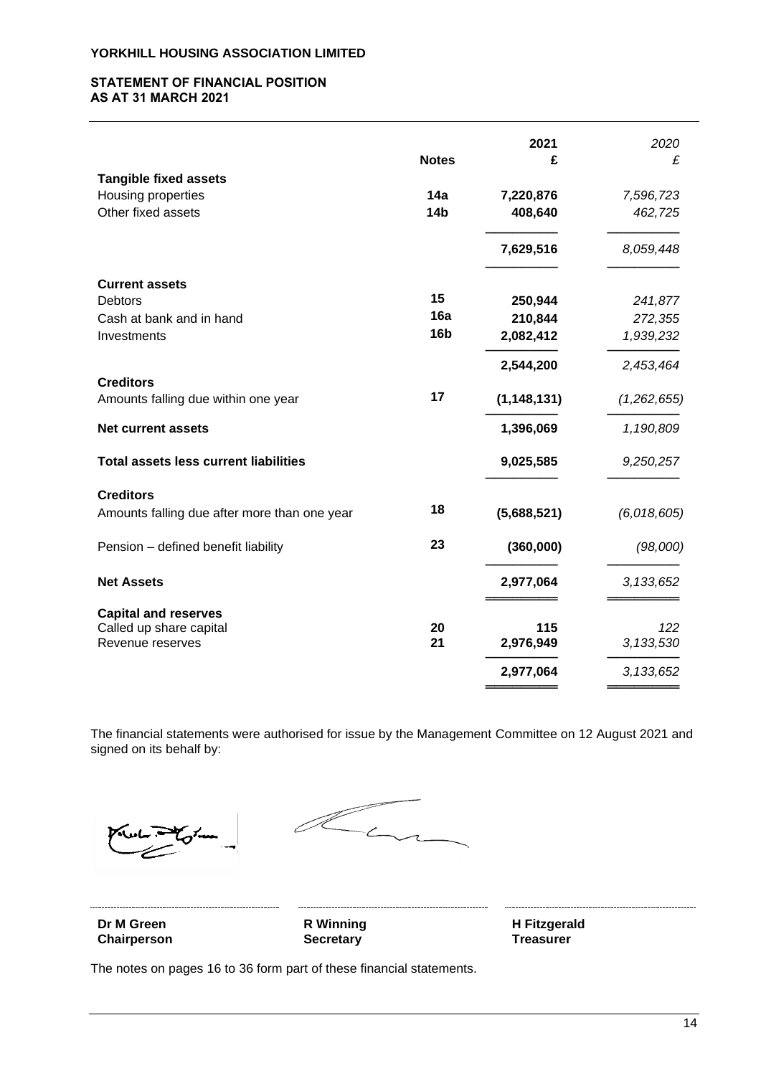#### **STATEMENT OF FINANCIAL POSITION AS AT 31 MARCH 2021**

|                                                                          | <b>Notes</b>           | 2021<br>£            | 2020<br>£            |
|--------------------------------------------------------------------------|------------------------|----------------------|----------------------|
| <b>Tangible fixed assets</b><br>Housing properties<br>Other fixed assets | 14a<br>14 <sub>b</sub> | 7,220,876<br>408,640 | 7,596,723<br>462,725 |
|                                                                          |                        | 7,629,516            | 8,059,448            |
| <b>Current assets</b><br><b>Debtors</b>                                  | 15                     | 250,944              | 241,877              |
| Cash at bank and in hand                                                 | 16a                    | 210,844              |                      |
|                                                                          | <b>16b</b>             |                      | 272,355              |
| Investments                                                              |                        | 2,082,412            | 1,939,232            |
|                                                                          |                        | 2,544,200            | 2,453,464            |
| <b>Creditors</b><br>Amounts falling due within one year                  | 17                     | (1, 148, 131)        | (1,262,655)          |
| <b>Net current assets</b>                                                |                        | 1,396,069            | 1,190,809            |
| <b>Total assets less current liabilities</b>                             |                        | 9,025,585            | 9,250,257            |
| <b>Creditors</b>                                                         | 18                     |                      |                      |
| Amounts falling due after more than one year                             |                        | (5,688,521)          | (6,018,605)          |
| Pension - defined benefit liability                                      | 23                     | (360,000)            | (98,000)             |
| <b>Net Assets</b>                                                        |                        | 2,977,064            | 3, 133, 652          |
| <b>Capital and reserves</b>                                              |                        |                      |                      |
| Called up share capital                                                  | 20                     | 115                  | 122                  |
| Revenue reserves                                                         | 21                     | 2,976,949            | 3,133,530            |
|                                                                          |                        |                      |                      |
|                                                                          |                        | 2,977,064            | 3, 133, 652          |

The financial statements were authorised for issue by the Management Committee on 12 August 2021 and signed on its behalf by:

 $\mathcal{L}_{c}$ 

**Chairperson Secretary Chairperson Treasurer** 

**Dr M Green R Winning H Fitzgerald**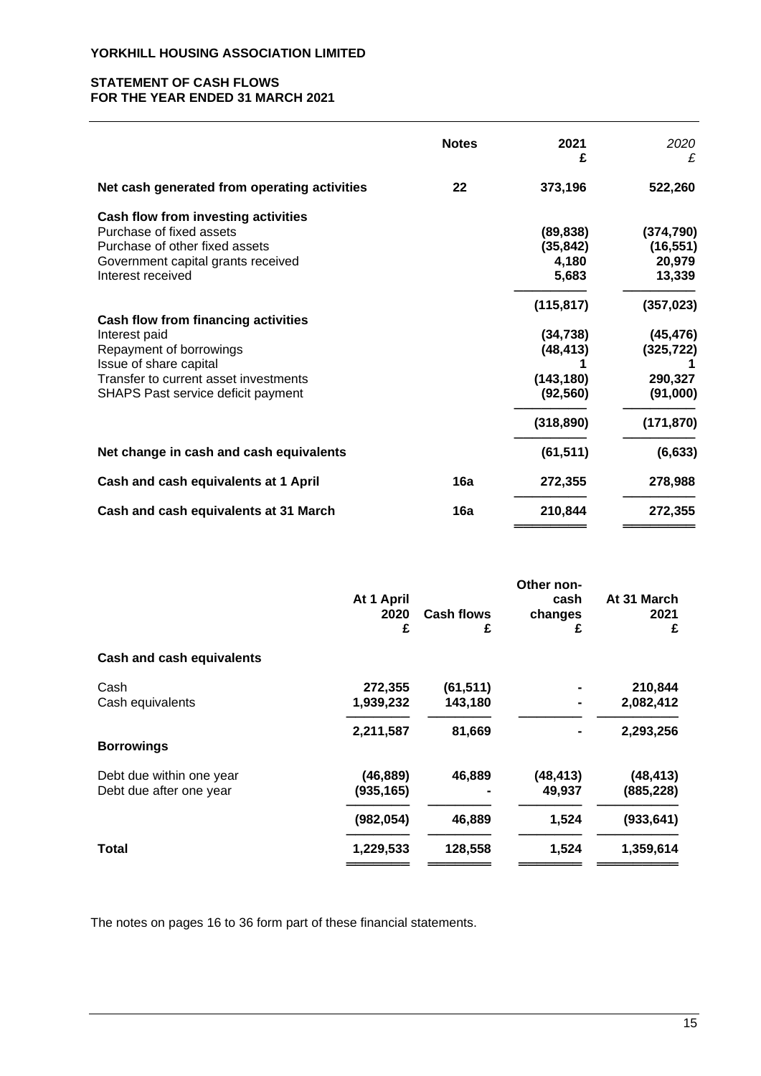#### **STATEMENT OF CASH FLOWS FOR THE YEAR ENDED 31 MARCH 2021**

|                                                                                                                                                                                                 | <b>Notes</b> | 2021<br>£                                                                     | 2020<br>£                                                                  |
|-------------------------------------------------------------------------------------------------------------------------------------------------------------------------------------------------|--------------|-------------------------------------------------------------------------------|----------------------------------------------------------------------------|
| Net cash generated from operating activities                                                                                                                                                    | 22           | 373,196                                                                       | 522,260                                                                    |
| Cash flow from investing activities<br>Purchase of fixed assets<br>Purchase of other fixed assets<br>Government capital grants received<br>Interest received                                    |              | (89, 838)<br>(35, 842)<br>4,180<br>5,683                                      | (374, 790)<br>(16, 551)<br>20,979<br>13,339                                |
| <b>Cash flow from financing activities</b><br>Interest paid<br>Repayment of borrowings<br>Issue of share capital<br>Transfer to current asset investments<br>SHAPS Past service deficit payment |              | (115, 817)<br>(34, 738)<br>(48, 413)<br>(143, 180)<br>(92, 560)<br>(318, 890) | (357, 023)<br>(45, 476)<br>(325, 722)<br>290,327<br>(91,000)<br>(171, 870) |
| Net change in cash and cash equivalents                                                                                                                                                         |              | (61, 511)                                                                     | (6, 633)                                                                   |
| Cash and cash equivalents at 1 April                                                                                                                                                            | 16a          | 272,355                                                                       | 278,988                                                                    |
| Cash and cash equivalents at 31 March                                                                                                                                                           | 16a          | 210,844                                                                       | 272,355                                                                    |

|                                  |            |                   | Other non- |             |
|----------------------------------|------------|-------------------|------------|-------------|
|                                  | At 1 April |                   | cash       | At 31 March |
|                                  | 2020       | <b>Cash flows</b> | changes    | 2021        |
|                                  | £          | £                 | £          | £           |
| <b>Cash and cash equivalents</b> |            |                   |            |             |
| Cash                             | 272,355    | (61,511)          |            | 210,844     |
| Cash equivalents                 | 1,939,232  | 143,180           |            | 2,082,412   |
|                                  | 2,211,587  | 81,669            |            | 2,293,256   |
| <b>Borrowings</b>                |            |                   |            |             |
| Debt due within one year         | (46, 889)  | 46,889            | (48, 413)  | (48, 413)   |
| Debt due after one year          | (935, 165) |                   | 49,937     | (885, 228)  |
|                                  | (982, 054) | 46,889            | 1,524      | (933, 641)  |
| Total                            | 1,229,533  | 128,558           | 1,524      | 1,359,614   |
|                                  |            |                   |            |             |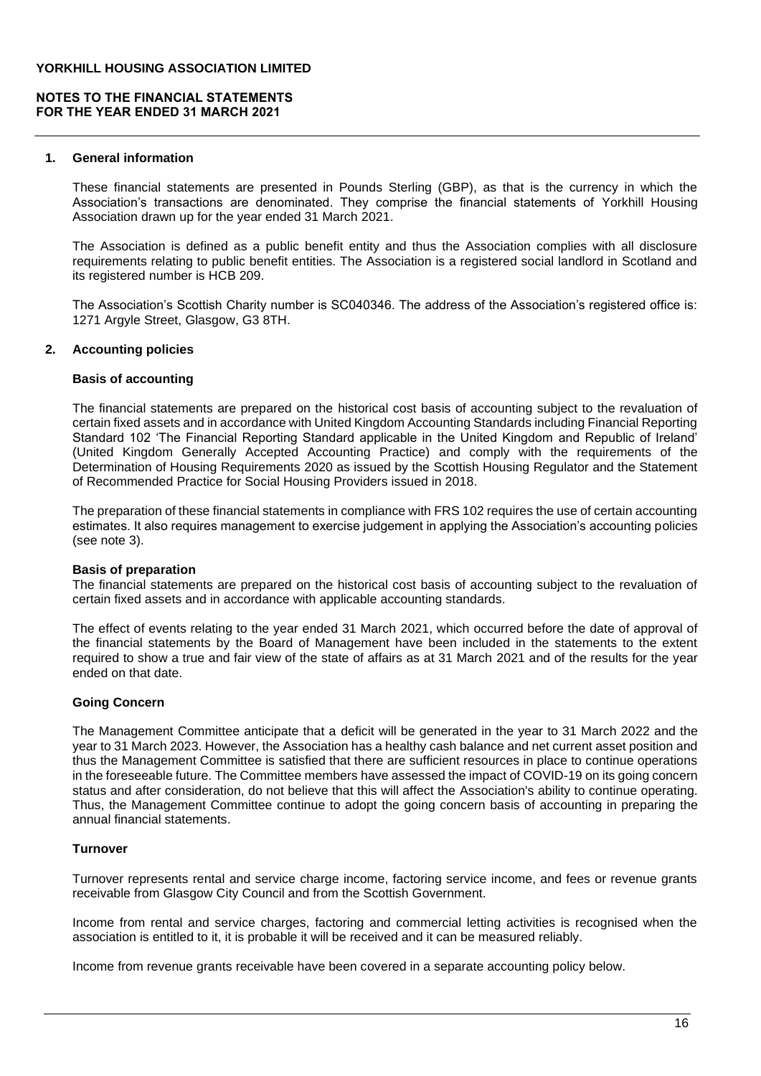## **NOTES TO THE FINANCIAL STATEMENTS FOR THE YEAR ENDED 31 MARCH 2021**

#### **1. General information**

These financial statements are presented in Pounds Sterling (GBP), as that is the currency in which the Association's transactions are denominated. They comprise the financial statements of Yorkhill Housing Association drawn up for the year ended 31 March 2021.

The Association is defined as a public benefit entity and thus the Association complies with all disclosure requirements relating to public benefit entities. The Association is a registered social landlord in Scotland and its registered number is HCB 209.

The Association's Scottish Charity number is SC040346. The address of the Association's registered office is: 1271 Argyle Street, Glasgow, G3 8TH.

#### **2. Accounting policies**

#### **Basis of accounting**

The financial statements are prepared on the historical cost basis of accounting subject to the revaluation of certain fixed assets and in accordance with United Kingdom Accounting Standards including Financial Reporting Standard 102 'The Financial Reporting Standard applicable in the United Kingdom and Republic of Ireland' (United Kingdom Generally Accepted Accounting Practice) and comply with the requirements of the Determination of Housing Requirements 2020 as issued by the Scottish Housing Regulator and the Statement of Recommended Practice for Social Housing Providers issued in 2018.

The preparation of these financial statements in compliance with FRS 102 requires the use of certain accounting estimates. It also requires management to exercise judgement in applying the Association's accounting policies (see note 3).

#### **Basis of preparation**

The financial statements are prepared on the historical cost basis of accounting subject to the revaluation of certain fixed assets and in accordance with applicable accounting standards.

The effect of events relating to the year ended 31 March 2021, which occurred before the date of approval of the financial statements by the Board of Management have been included in the statements to the extent required to show a true and fair view of the state of affairs as at 31 March 2021 and of the results for the year ended on that date.

#### **Going Concern**

The Management Committee anticipate that a deficit will be generated in the year to 31 March 2022 and the year to 31 March 2023. However, the Association has a healthy cash balance and net current asset position and thus the Management Committee is satisfied that there are sufficient resources in place to continue operations in the foreseeable future. The Committee members have assessed the impact of COVID-19 on its going concern status and after consideration, do not believe that this will affect the Association's ability to continue operating. Thus, the Management Committee continue to adopt the going concern basis of accounting in preparing the annual financial statements.

#### **Turnover**

Turnover represents rental and service charge income, factoring service income, and fees or revenue grants receivable from Glasgow City Council and from the Scottish Government.

Income from rental and service charges, factoring and commercial letting activities is recognised when the association is entitled to it, it is probable it will be received and it can be measured reliably.

Income from revenue grants receivable have been covered in a separate accounting policy below.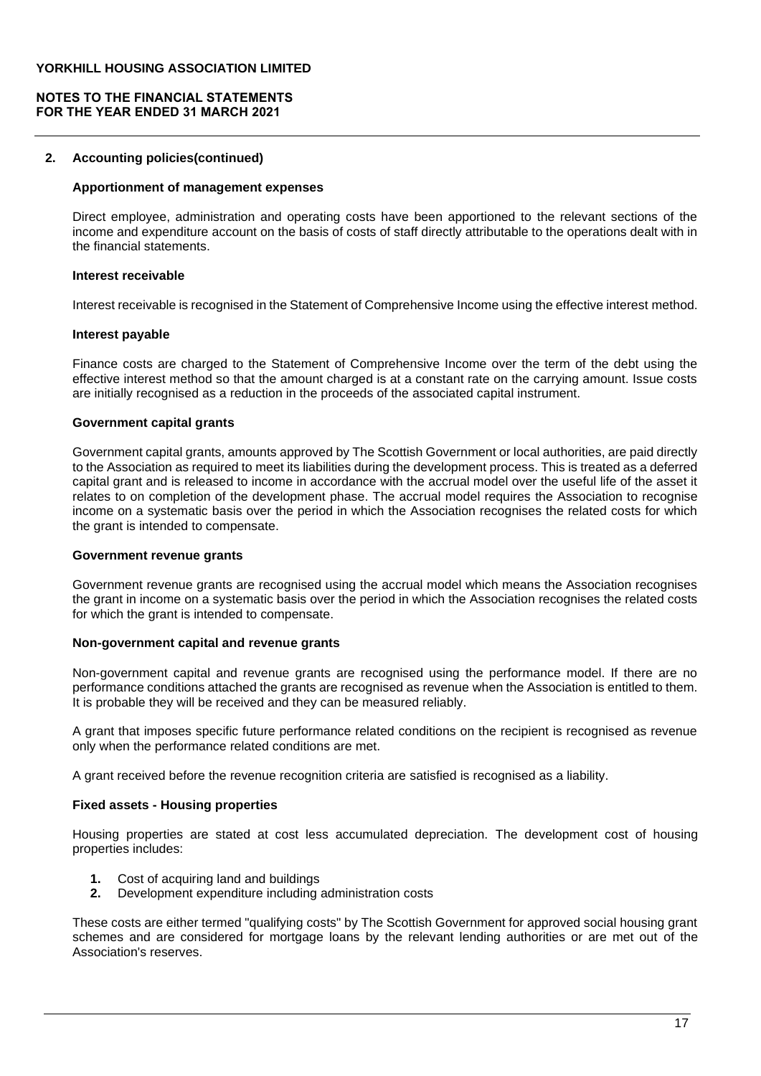#### **NOTES TO THE FINANCIAL STATEMENTS FOR THE YEAR ENDED 31 MARCH 2021**

#### **2. Accounting policies(continued)**

## **Apportionment of management expenses**

Direct employee, administration and operating costs have been apportioned to the relevant sections of the income and expenditure account on the basis of costs of staff directly attributable to the operations dealt with in the financial statements.

#### **Interest receivable**

Interest receivable is recognised in the Statement of Comprehensive Income using the effective interest method.

#### **Interest payable**

Finance costs are charged to the Statement of Comprehensive Income over the term of the debt using the effective interest method so that the amount charged is at a constant rate on the carrying amount. Issue costs are initially recognised as a reduction in the proceeds of the associated capital instrument.

#### **Government capital grants**

Government capital grants, amounts approved by The Scottish Government or local authorities, are paid directly to the Association as required to meet its liabilities during the development process. This is treated as a deferred capital grant and is released to income in accordance with the accrual model over the useful life of the asset it relates to on completion of the development phase. The accrual model requires the Association to recognise income on a systematic basis over the period in which the Association recognises the related costs for which the grant is intended to compensate.

#### **Government revenue grants**

Government revenue grants are recognised using the accrual model which means the Association recognises the grant in income on a systematic basis over the period in which the Association recognises the related costs for which the grant is intended to compensate.

#### **Non-government capital and revenue grants**

Non-government capital and revenue grants are recognised using the performance model. If there are no performance conditions attached the grants are recognised as revenue when the Association is entitled to them. It is probable they will be received and they can be measured reliably.

A grant that imposes specific future performance related conditions on the recipient is recognised as revenue only when the performance related conditions are met.

A grant received before the revenue recognition criteria are satisfied is recognised as a liability.

## **Fixed assets - Housing properties**

Housing properties are stated at cost less accumulated depreciation. The development cost of housing properties includes:

- **1.** Cost of acquiring land and buildings
- **2.** Development expenditure including administration costs

These costs are either termed "qualifying costs" by The Scottish Government for approved social housing grant schemes and are considered for mortgage loans by the relevant lending authorities or are met out of the Association's reserves.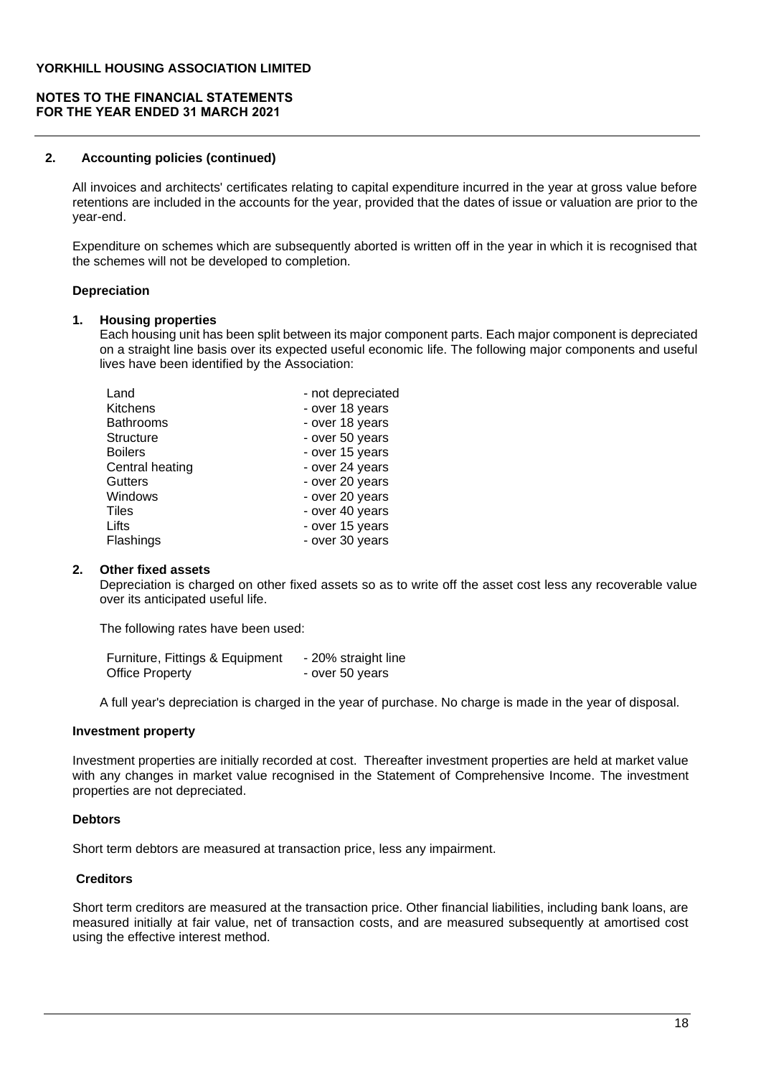### **NOTES TO THE FINANCIAL STATEMENTS FOR THE YEAR ENDED 31 MARCH 2021**

#### **2. Accounting policies (continued)**

All invoices and architects' certificates relating to capital expenditure incurred in the year at gross value before retentions are included in the accounts for the year, provided that the dates of issue or valuation are prior to the year-end.

Expenditure on schemes which are subsequently aborted is written off in the year in which it is recognised that the schemes will not be developed to completion.

#### **Depreciation**

#### **1. Housing properties**

Each housing unit has been split between its major component parts. Each major component is depreciated on a straight line basis over its expected useful economic life. The following major components and useful lives have been identified by the Association:

| Land             | - not depreciated |
|------------------|-------------------|
| Kitchens         | - over 18 years   |
| <b>Bathrooms</b> | - over 18 years   |
| <b>Structure</b> | - over 50 years   |
| <b>Boilers</b>   | - over 15 years   |
| Central heating  | - over 24 years   |
| <b>Gutters</b>   | - over 20 years   |
| Windows          | - over 20 years   |
| Tiles            | - over 40 years   |
| Lifts            | - over 15 years   |
| Flashings        | - over 30 years   |

#### **2. Other fixed assets**

Depreciation is charged on other fixed assets so as to write off the asset cost less any recoverable value over its anticipated useful life.

The following rates have been used:

| Furniture, Fittings & Equipment | - 20% straight line |
|---------------------------------|---------------------|
| <b>Office Property</b>          | - over 50 years     |

A full year's depreciation is charged in the year of purchase. No charge is made in the year of disposal.

#### **Investment property**

Investment properties are initially recorded at cost. Thereafter investment properties are held at market value with any changes in market value recognised in the Statement of Comprehensive Income. The investment properties are not depreciated.

## **Debtors**

Short term debtors are measured at transaction price, less any impairment.

#### **Creditors**

Short term creditors are measured at the transaction price. Other financial liabilities, including bank loans, are measured initially at fair value, net of transaction costs, and are measured subsequently at amortised cost using the effective interest method.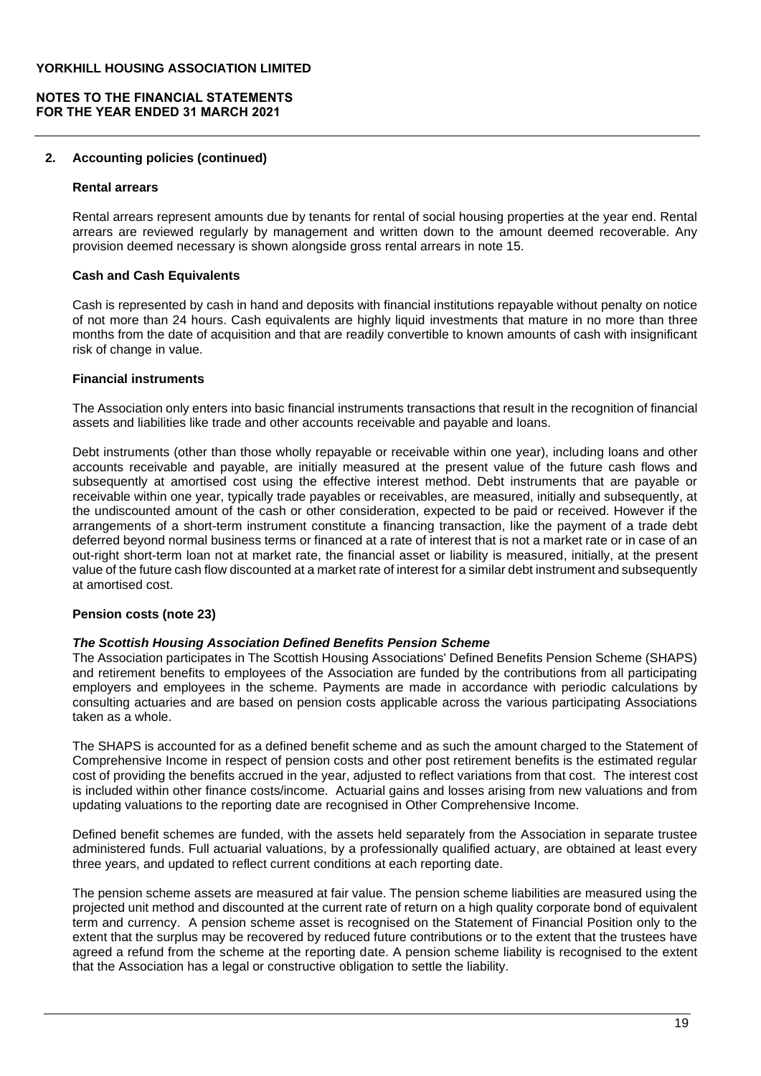#### **NOTES TO THE FINANCIAL STATEMENTS FOR THE YEAR ENDED 31 MARCH 2021**

#### **2. Accounting policies (continued)**

#### **Rental arrears**

Rental arrears represent amounts due by tenants for rental of social housing properties at the year end. Rental arrears are reviewed regularly by management and written down to the amount deemed recoverable. Any provision deemed necessary is shown alongside gross rental arrears in note 15.

#### **Cash and Cash Equivalents**

Cash is represented by cash in hand and deposits with financial institutions repayable without penalty on notice of not more than 24 hours. Cash equivalents are highly liquid investments that mature in no more than three months from the date of acquisition and that are readily convertible to known amounts of cash with insignificant risk of change in value.

# **Financial instruments**

The Association only enters into basic financial instruments transactions that result in the recognition of financial assets and liabilities like trade and other accounts receivable and payable and loans.

Debt instruments (other than those wholly repayable or receivable within one year), including loans and other accounts receivable and payable, are initially measured at the present value of the future cash flows and subsequently at amortised cost using the effective interest method. Debt instruments that are payable or receivable within one year, typically trade payables or receivables, are measured, initially and subsequently, at the undiscounted amount of the cash or other consideration, expected to be paid or received. However if the arrangements of a short-term instrument constitute a financing transaction, like the payment of a trade debt deferred beyond normal business terms or financed at a rate of interest that is not a market rate or in case of an out-right short-term loan not at market rate, the financial asset or liability is measured, initially, at the present value of the future cash flow discounted at a market rate of interest for a similar debt instrument and subsequently at amortised cost.

#### **Pension costs (note 23)**

#### *The Scottish Housing Association Defined Benefits Pension Scheme*

The Association participates in The Scottish Housing Associations' Defined Benefits Pension Scheme (SHAPS) and retirement benefits to employees of the Association are funded by the contributions from all participating employers and employees in the scheme. Payments are made in accordance with periodic calculations by consulting actuaries and are based on pension costs applicable across the various participating Associations taken as a whole.

The SHAPS is accounted for as a defined benefit scheme and as such the amount charged to the Statement of Comprehensive Income in respect of pension costs and other post retirement benefits is the estimated regular cost of providing the benefits accrued in the year, adjusted to reflect variations from that cost. The interest cost is included within other finance costs/income. Actuarial gains and losses arising from new valuations and from updating valuations to the reporting date are recognised in Other Comprehensive Income.

Defined benefit schemes are funded, with the assets held separately from the Association in separate trustee administered funds. Full actuarial valuations, by a professionally qualified actuary, are obtained at least every three years, and updated to reflect current conditions at each reporting date.

The pension scheme assets are measured at fair value. The pension scheme liabilities are measured using the projected unit method and discounted at the current rate of return on a high quality corporate bond of equivalent term and currency. A pension scheme asset is recognised on the Statement of Financial Position only to the extent that the surplus may be recovered by reduced future contributions or to the extent that the trustees have agreed a refund from the scheme at the reporting date. A pension scheme liability is recognised to the extent that the Association has a legal or constructive obligation to settle the liability.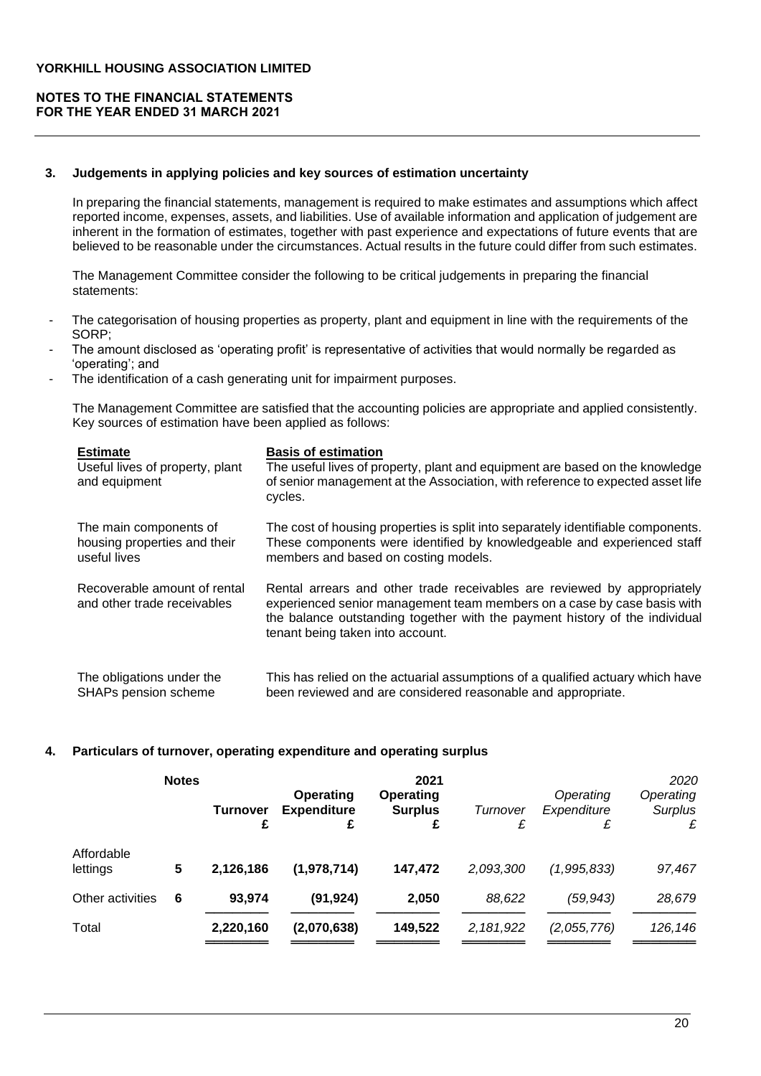# **NOTES TO THE FINANCIAL STATEMENTS FOR THE YEAR ENDED 31 MARCH 2021**

#### **3. Judgements in applying policies and key sources of estimation uncertainty**

In preparing the financial statements, management is required to make estimates and assumptions which affect reported income, expenses, assets, and liabilities. Use of available information and application of judgement are inherent in the formation of estimates, together with past experience and expectations of future events that are believed to be reasonable under the circumstances. Actual results in the future could differ from such estimates.

The Management Committee consider the following to be critical judgements in preparing the financial statements:

- The categorisation of housing properties as property, plant and equipment in line with the requirements of the SORP;
- The amount disclosed as 'operating profit' is representative of activities that would normally be regarded as 'operating'; and
- The identification of a cash generating unit for impairment purposes.

The Management Committee are satisfied that the accounting policies are appropriate and applied consistently. Key sources of estimation have been applied as follows:

| <b>Estimate</b><br>Useful lives of property, plant<br>and equipment | <b>Basis of estimation</b><br>The useful lives of property, plant and equipment are based on the knowledge<br>of senior management at the Association, with reference to expected asset life<br>cycles.                                                                |
|---------------------------------------------------------------------|------------------------------------------------------------------------------------------------------------------------------------------------------------------------------------------------------------------------------------------------------------------------|
| The main components of                                              | The cost of housing properties is split into separately identifiable components.                                                                                                                                                                                       |
| housing properties and their                                        | These components were identified by knowledgeable and experienced staff                                                                                                                                                                                                |
| useful lives                                                        | members and based on costing models.                                                                                                                                                                                                                                   |
| Recoverable amount of rental<br>and other trade receivables         | Rental arrears and other trade receivables are reviewed by appropriately<br>experienced senior management team members on a case by case basis with<br>the balance outstanding together with the payment history of the individual<br>tenant being taken into account. |
| The obligations under the                                           | This has relied on the actuarial assumptions of a qualified actuary which have                                                                                                                                                                                         |
| <b>SHAPs pension scheme</b>                                         | been reviewed and are considered reasonable and appropriate.                                                                                                                                                                                                           |

## **4. Particulars of turnover, operating expenditure and operating surplus**

|                        | <b>Notes</b> | <b>Turnover</b><br>£ | <b>Operating</b><br><b>Expenditure</b><br>£ | 2021<br><b>Operating</b><br><b>Surplus</b><br>£ | Turnover<br>£ | Operating<br>Expenditure<br>£ | 2020<br>Operating<br><b>Surplus</b><br>£ |
|------------------------|--------------|----------------------|---------------------------------------------|-------------------------------------------------|---------------|-------------------------------|------------------------------------------|
| Affordable<br>lettings | 5            | 2,126,186            | (1,978,714)                                 | 147,472                                         | 2,093,300     | (1,995,833)                   | 97,467                                   |
| Other activities       | 6            | 93.974               | (91, 924)                                   | 2,050                                           | 88,622        | (59, 943)                     | 28,679                                   |
| Total                  |              | 2,220,160            | (2,070,638)                                 | 149,522                                         | 2,181,922     | (2,055,776)                   | 126,146                                  |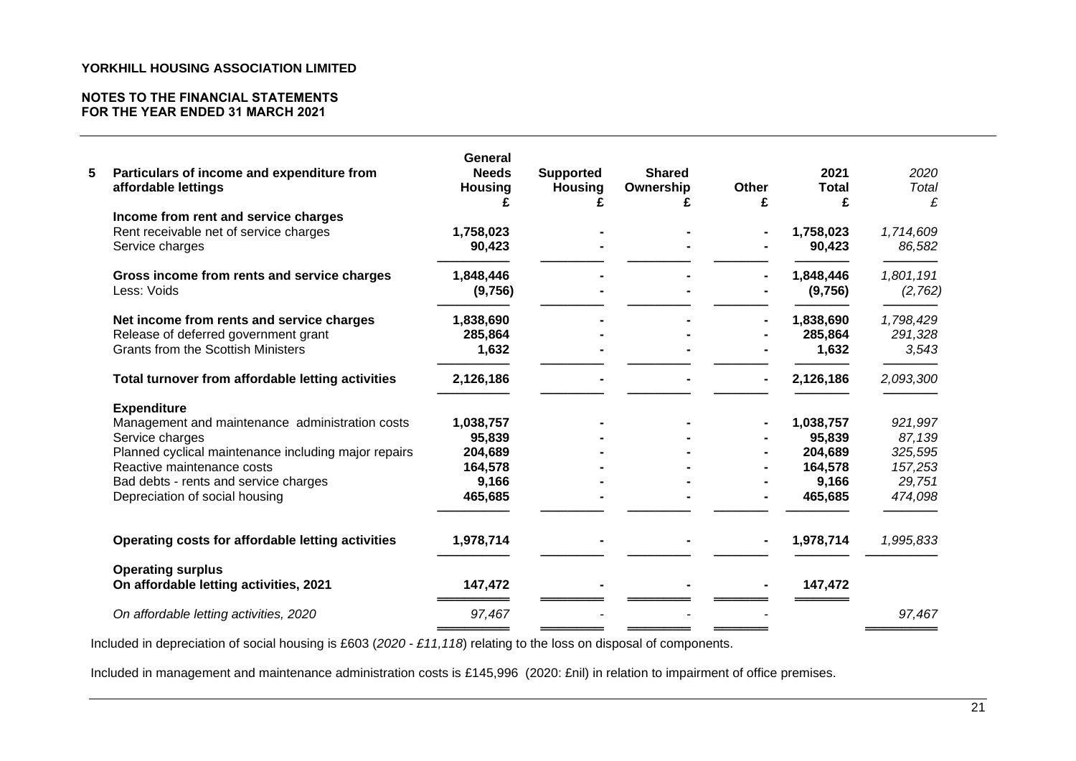## **NOTES TO THE FINANCIAL STATEMENTS FOR THE YEAR ENDED 31 MARCH 2021**

| Particulars of income and expenditure from<br>affordable lettings  | General<br><b>Needs</b><br><b>Housing</b> | <b>Supported</b><br><b>Housing</b><br>£ | <b>Shared</b><br>Ownership<br>£ | <b>Other</b><br>£ | 2021<br><b>Total</b><br>£ | 2020<br>Total<br>£ |
|--------------------------------------------------------------------|-------------------------------------------|-----------------------------------------|---------------------------------|-------------------|---------------------------|--------------------|
| Income from rent and service charges                               |                                           |                                         |                                 |                   |                           |                    |
| Rent receivable net of service charges                             | 1,758,023                                 |                                         |                                 |                   | 1,758,023                 | 1,714,609          |
| Service charges                                                    | 90,423                                    |                                         |                                 |                   | 90,423                    | 86,582             |
| Gross income from rents and service charges                        | 1,848,446                                 |                                         |                                 |                   | 1,848,446                 | 1,801,191          |
| Less: Voids                                                        | (9,756)                                   |                                         |                                 |                   | (9,756)                   | (2,762)            |
| Net income from rents and service charges                          | 1,838,690                                 |                                         |                                 |                   | 1,838,690                 | 1,798,429          |
| Release of deferred government grant                               | 285,864                                   |                                         |                                 |                   | 285,864                   | 291,328            |
| <b>Grants from the Scottish Ministers</b>                          | 1,632                                     |                                         |                                 |                   | 1,632                     | 3,543              |
| Total turnover from affordable letting activities                  | 2,126,186                                 |                                         |                                 |                   | 2,126,186                 | 2,093,300          |
| <b>Expenditure</b>                                                 |                                           |                                         |                                 |                   |                           |                    |
| Management and maintenance administration costs                    | 1,038,757                                 |                                         |                                 |                   | 1,038,757                 | 921,997            |
| Service charges                                                    | 95,839                                    |                                         |                                 |                   | 95,839                    | 87,139             |
| Planned cyclical maintenance including major repairs               | 204,689                                   |                                         |                                 |                   | 204,689                   | 325,595            |
| Reactive maintenance costs                                         | 164,578                                   |                                         |                                 |                   | 164,578                   | 157,253            |
| Bad debts - rents and service charges                              | 9,166                                     |                                         |                                 |                   | 9,166                     | 29,751             |
| Depreciation of social housing                                     | 465,685                                   |                                         |                                 |                   | 465,685                   | 474,098            |
| Operating costs for affordable letting activities                  | 1,978,714                                 |                                         |                                 |                   | 1,978,714                 | 1,995,833          |
|                                                                    |                                           |                                         |                                 |                   |                           |                    |
| <b>Operating surplus</b><br>On affordable letting activities, 2021 | 147,472                                   |                                         |                                 |                   | 147,472                   |                    |
| On affordable letting activities, 2020                             | 97,467                                    |                                         |                                 |                   |                           | 97,467             |

Included in depreciation of social housing is £603 (*2020 - £11,118*) relating to the loss on disposal of components.

Included in management and maintenance administration costs is £145,996 (2020: £nil) in relation to impairment of office premises.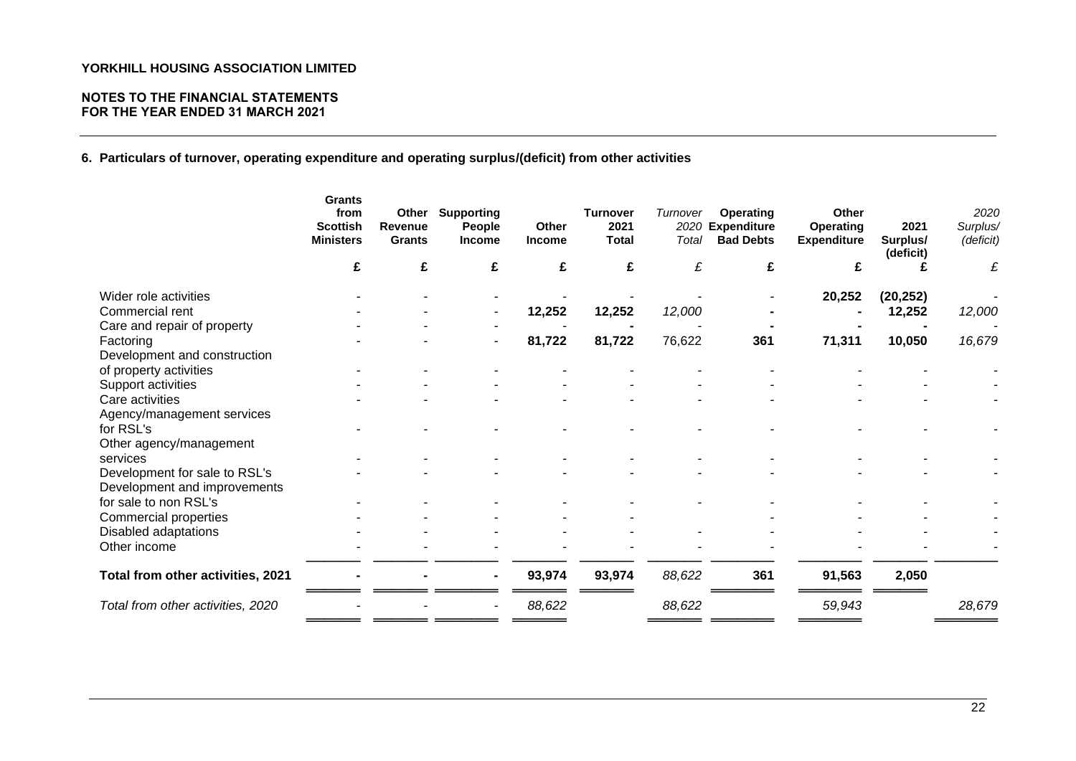## **NOTES TO THE FINANCIAL STATEMENTS FOR THE YEAR ENDED 31 MARCH 2021**

**6. Particulars of turnover, operating expenditure and operating surplus/(deficit) from other activities**

| <b>Scottish</b><br><b>Ministers</b> | <b>Grants</b><br>from | Other<br>Revenue<br><b>Grants</b> | <b>Supporting</b><br>People<br><b>Income</b> | Other<br><b>Income</b> | <b>Turnover</b><br>2021<br><b>Total</b> | Turnover<br>2020<br>Total | <b>Operating</b><br><b>Expenditure</b><br><b>Bad Debts</b> | Other<br>Operating<br><b>Expenditure</b> | 2021<br>Surplus/<br>(deficit) | 2020<br>Surplus/<br>(deficit) |
|-------------------------------------|-----------------------|-----------------------------------|----------------------------------------------|------------------------|-----------------------------------------|---------------------------|------------------------------------------------------------|------------------------------------------|-------------------------------|-------------------------------|
|                                     | £                     | £                                 | £                                            | £                      | £                                       | £                         | £                                                          | £                                        |                               | £                             |
| Wider role activities               |                       |                                   |                                              |                        |                                         |                           |                                                            | 20,252                                   | (20, 252)                     |                               |
| Commercial rent                     |                       |                                   |                                              | 12,252                 | 12,252                                  | 12,000                    |                                                            |                                          | 12,252                        | 12,000                        |
| Care and repair of property         |                       |                                   |                                              |                        |                                         |                           |                                                            |                                          |                               |                               |
| Factoring                           |                       |                                   |                                              | 81,722                 | 81,722                                  | 76,622                    | 361                                                        | 71,311                                   | 10,050                        | 16,679                        |
| Development and construction        |                       |                                   |                                              |                        |                                         |                           |                                                            |                                          |                               |                               |
| of property activities              |                       |                                   |                                              |                        |                                         |                           |                                                            |                                          |                               |                               |
| Support activities                  |                       |                                   |                                              |                        |                                         |                           |                                                            |                                          |                               |                               |
| Care activities                     |                       |                                   |                                              |                        |                                         |                           |                                                            |                                          |                               |                               |
| Agency/management services          |                       |                                   |                                              |                        |                                         |                           |                                                            |                                          |                               |                               |
| for RSL's                           |                       |                                   |                                              |                        |                                         |                           |                                                            |                                          |                               |                               |
| Other agency/management             |                       |                                   |                                              |                        |                                         |                           |                                                            |                                          |                               |                               |
| services                            |                       |                                   |                                              |                        |                                         |                           |                                                            |                                          |                               |                               |
| Development for sale to RSL's       |                       |                                   |                                              |                        |                                         |                           |                                                            |                                          |                               |                               |
| Development and improvements        |                       |                                   |                                              |                        |                                         |                           |                                                            |                                          |                               |                               |
| for sale to non RSL's               |                       |                                   |                                              |                        |                                         |                           |                                                            |                                          |                               |                               |
| Commercial properties               |                       |                                   |                                              |                        |                                         |                           |                                                            |                                          |                               |                               |
| Disabled adaptations                |                       |                                   |                                              |                        |                                         |                           |                                                            |                                          |                               |                               |
| Other income                        |                       |                                   |                                              |                        |                                         |                           |                                                            |                                          |                               |                               |
| Total from other activities, 2021   |                       |                                   |                                              | 93,974                 | 93,974                                  | 88,622                    | 361                                                        | 91,563                                   | 2,050                         |                               |
| Total from other activities, 2020   |                       |                                   |                                              | 88,622                 |                                         | 88,622                    |                                                            | 59,943                                   |                               | 28,679                        |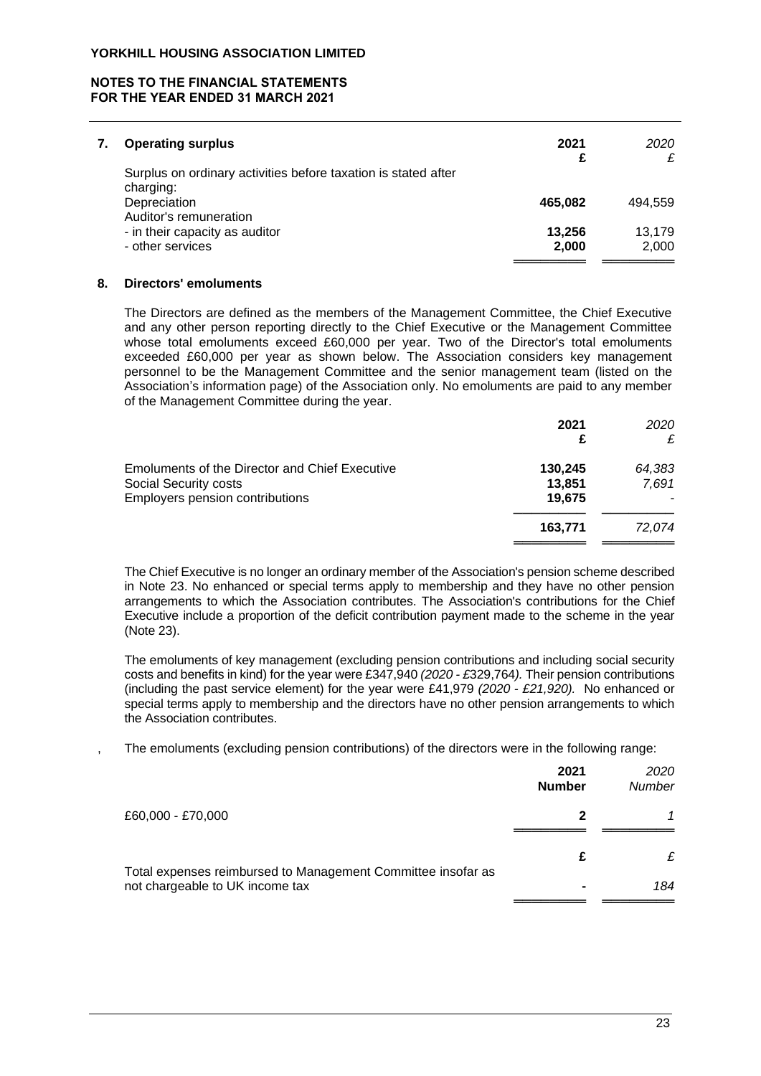## **NOTES TO THE FINANCIAL STATEMENTS FOR THE YEAR ENDED 31 MARCH 2021**

| <b>Operating surplus</b>                                                                                              | 2021<br>£       | 2020            |
|-----------------------------------------------------------------------------------------------------------------------|-----------------|-----------------|
| Surplus on ordinary activities before taxation is stated after<br>charging:<br>Depreciation<br>Auditor's remuneration | 465.082         | 494.559         |
| - in their capacity as auditor<br>- other services                                                                    | 13,256<br>2,000 | 13.179<br>2.000 |

#### **8. Directors' emoluments**

The Directors are defined as the members of the Management Committee, the Chief Executive and any other person reporting directly to the Chief Executive or the Management Committee whose total emoluments exceed £60,000 per year. Two of the Director's total emoluments exceeded £60,000 per year as shown below. The Association considers key management personnel to be the Management Committee and the senior management team (listed on the Association's information page) of the Association only. No emoluments are paid to any member of the Management Committee during the year.

|                                                                                | 2021<br>£         | 2020<br>£       |
|--------------------------------------------------------------------------------|-------------------|-----------------|
| <b>Emoluments of the Director and Chief Executive</b><br>Social Security costs | 130.245<br>13,851 | 64,383<br>7,691 |
| <b>Employers pension contributions</b>                                         | 19.675            |                 |
|                                                                                | 163,771           | 72.074          |

The Chief Executive is no longer an ordinary member of the Association's pension scheme described in Note 23. No enhanced or special terms apply to membership and they have no other pension arrangements to which the Association contributes. The Association's contributions for the Chief Executive include a proportion of the deficit contribution payment made to the scheme in the year (Note 23).

The emoluments of key management (excluding pension contributions and including social security costs and benefits in kind) for the year were £347,940 *(2020 - £*329,764*).* Their pension contributions (including the past service element) for the year were £41,979 *(2020 - £21,920).* No enhanced or special terms apply to membership and the directors have no other pension arrangements to which the Association contributes.

The emoluments (excluding pension contributions) of the directors were in the following range:

|                                                              | 2021<br><b>Number</b> | 2020<br>Number |
|--------------------------------------------------------------|-----------------------|----------------|
| £60,000 - £70,000                                            |                       |                |
| Total expenses reimbursed to Management Committee insofar as | £                     | £              |
| not chargeable to UK income tax                              |                       | 184            |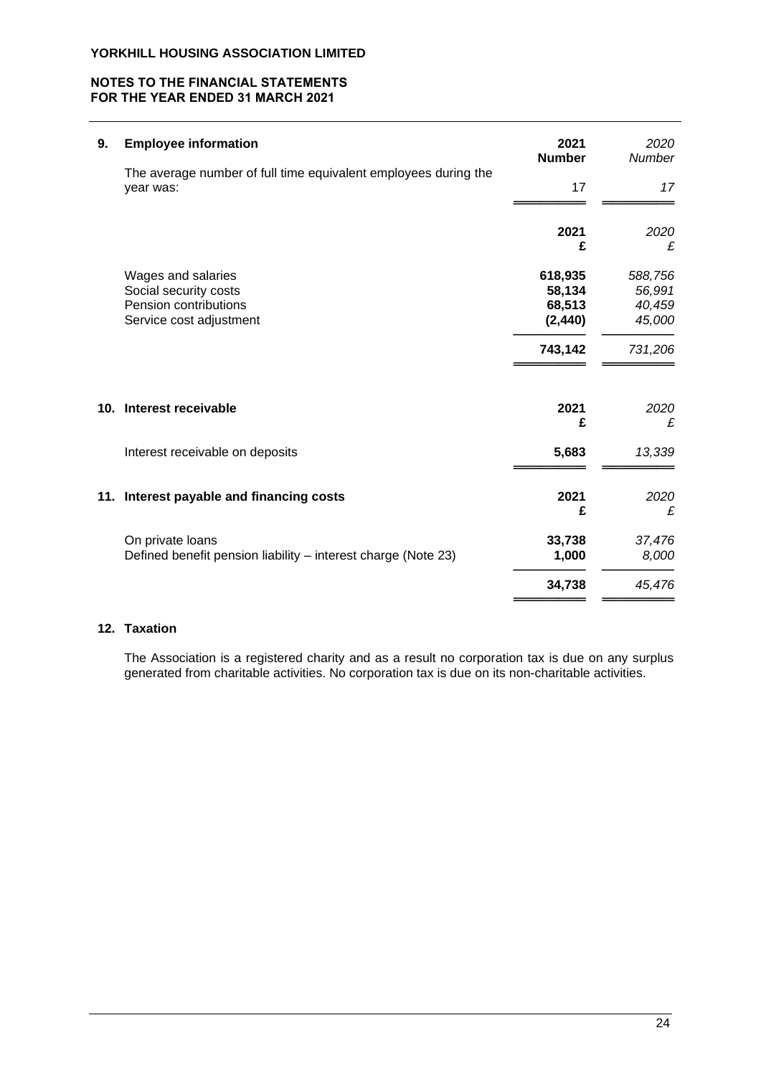## **NOTES TO THE FINANCIAL STATEMENTS FOR THE YEAR ENDED 31 MARCH 2021**

| 9.  | <b>Employee information</b>                                                                     | 2021<br><b>Number</b>                   | 2020<br>Number                        |
|-----|-------------------------------------------------------------------------------------------------|-----------------------------------------|---------------------------------------|
|     | The average number of full time equivalent employees during the<br>year was:                    | 17                                      | 17                                    |
|     |                                                                                                 | 2021<br>£                               | 2020<br>£                             |
|     | Wages and salaries<br>Social security costs<br>Pension contributions<br>Service cost adjustment | 618,935<br>58,134<br>68,513<br>(2, 440) | 588,756<br>56,991<br>40,459<br>45,000 |
|     |                                                                                                 | 743,142                                 | 731,206                               |
| 10. | Interest receivable                                                                             | 2021<br>£                               | 2020<br>£                             |
|     | Interest receivable on deposits                                                                 | 5,683                                   | 13,339                                |
|     | 11. Interest payable and financing costs                                                        | 2021<br>£                               | 2020<br>£                             |
|     | On private loans<br>Defined benefit pension liability – interest charge (Note 23)               | 33,738<br>1,000                         | 37,476<br>8,000                       |
|     |                                                                                                 | 34,738                                  | 45,476                                |

# **12. Taxation**

The Association is a registered charity and as a result no corporation tax is due on any surplus generated from charitable activities. No corporation tax is due on its non-charitable activities.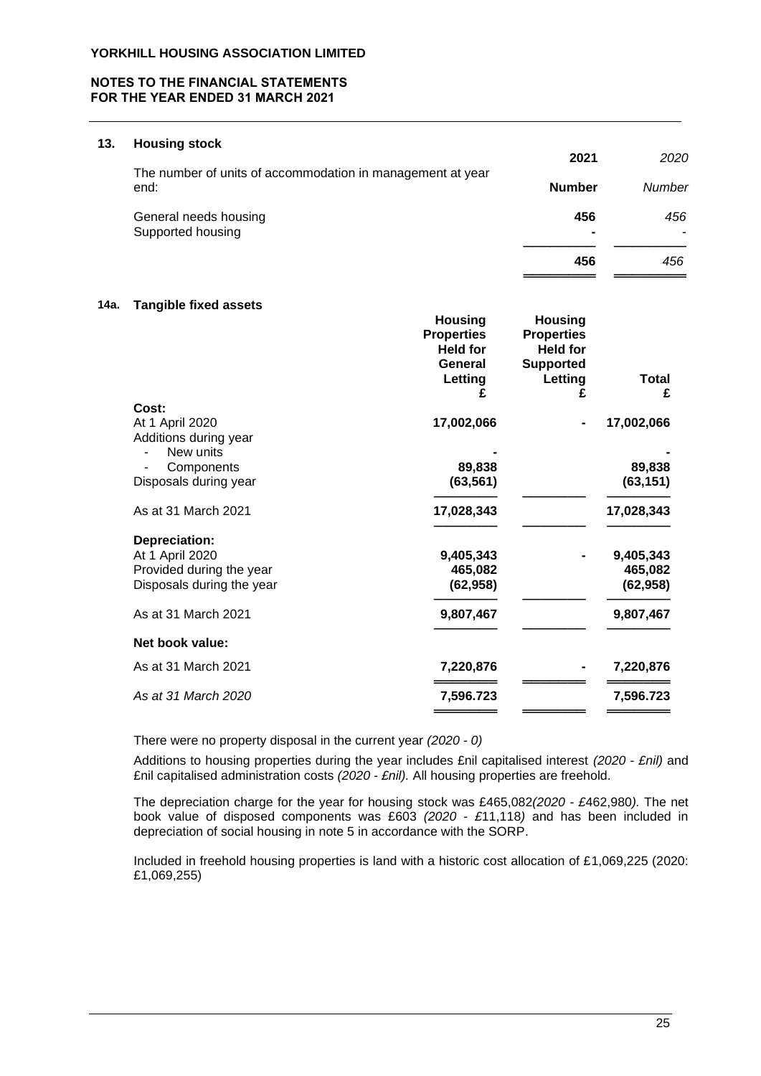## **NOTES TO THE FINANCIAL STATEMENTS FOR THE YEAR ENDED 31 MARCH 2021**

#### **13. Housing stock**

| The number of units of accommodation in management at year | 2021          | 2020   |
|------------------------------------------------------------|---------------|--------|
| end:                                                       | <b>Number</b> | Number |
| General needs housing<br>Supported housing                 | 456<br>۰      | 456    |
|                                                            | 456           | 456    |

#### **14a. Tangible fixed assets**

|                                                   | <b>Housing</b><br><b>Properties</b><br><b>Held for</b><br>General | <b>Housing</b><br><b>Properties</b><br><b>Held for</b><br><b>Supported</b> |            |
|---------------------------------------------------|-------------------------------------------------------------------|----------------------------------------------------------------------------|------------|
|                                                   | Letting                                                           | Letting                                                                    | Total      |
|                                                   | £                                                                 | £                                                                          | £          |
| Cost:<br>At 1 April 2020<br>Additions during year | 17,002,066                                                        |                                                                            | 17,002,066 |
| New units                                         |                                                                   |                                                                            |            |
| Components                                        | 89,838                                                            |                                                                            | 89,838     |
| Disposals during year                             | (63, 561)                                                         |                                                                            | (63, 151)  |
| As at 31 March 2021                               | 17,028,343                                                        |                                                                            | 17,028,343 |
| Depreciation:                                     |                                                                   |                                                                            |            |
| At 1 April 2020                                   | 9,405,343                                                         |                                                                            | 9,405,343  |
| Provided during the year                          | 465,082                                                           |                                                                            | 465,082    |
| Disposals during the year                         | (62, 958)                                                         |                                                                            | (62, 958)  |
| As at 31 March 2021                               | 9,807,467                                                         |                                                                            | 9,807,467  |
| Net book value:                                   |                                                                   |                                                                            |            |
| As at 31 March 2021                               | 7,220,876                                                         |                                                                            | 7,220,876  |
| As at 31 March 2020                               | 7,596.723                                                         |                                                                            | 7,596.723  |
|                                                   |                                                                   |                                                                            |            |

There were no property disposal in the current year *(2020 - 0)*

Additions to housing properties during the year includes £nil capitalised interest *(2020 - £nil)* and £nil capitalised administration costs *(2020 - £nil).* All housing properties are freehold.

The depreciation charge for the year for housing stock was £465,082*(2020 - £*462,980*).* The net book value of disposed components was £603 *(2020 - £*11,118*)* and has been included in depreciation of social housing in note 5 in accordance with the SORP.

Included in freehold housing properties is land with a historic cost allocation of £1,069,225 (2020: £1,069,255)

**════════** *════════*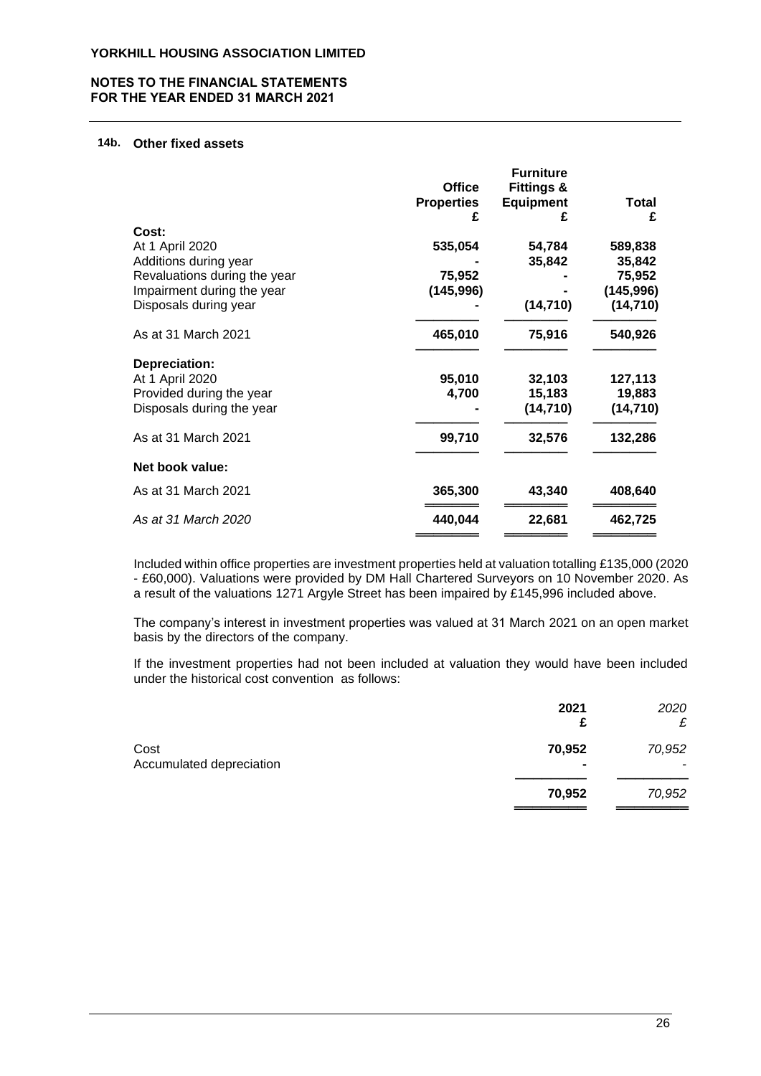#### **NOTES TO THE FINANCIAL STATEMENTS FOR THE YEAR ENDED 31 MARCH 2021**

# **14b. Other fixed assets**

|                              |                   | <b>Furniture</b>      |            |
|------------------------------|-------------------|-----------------------|------------|
|                              | <b>Office</b>     | <b>Fittings &amp;</b> |            |
|                              | <b>Properties</b> | <b>Equipment</b>      | Total      |
|                              | £                 | £                     | £          |
| Cost:                        |                   |                       |            |
| At 1 April 2020              | 535,054           | 54,784                | 589,838    |
| Additions during year        |                   | 35,842                | 35,842     |
| Revaluations during the year | 75,952            |                       | 75,952     |
| Impairment during the year   | (145,996)         |                       | (145, 996) |
| Disposals during year        |                   | (14, 710)             | (14, 710)  |
| As at 31 March 2021          | 465,010           | 75,916                | 540,926    |
| Depreciation:                |                   |                       |            |
| At 1 April 2020              | 95,010            | 32,103                | 127,113    |
| Provided during the year     | 4,700             | 15,183                | 19,883     |
| Disposals during the year    |                   | (14, 710)             | (14, 710)  |
| As at 31 March 2021          | 99,710            | 32,576                | 132,286    |
| Net book value:              |                   |                       |            |
| As at 31 March 2021          | 365,300           | 43,340                | 408,640    |
| As at 31 March 2020          | 440,044           | 22,681                | 462,725    |
|                              |                   |                       |            |

Included within office properties are investment properties held at valuation totalling £135,000 (2020 - £60,000). Valuations were provided by DM Hall Chartered Surveyors on 10 November 2020. As a result of the valuations 1271 Argyle Street has been impaired by £145,996 included above.

The company's interest in investment properties was valued at 31 March 2021 on an open market basis by the directors of the company.

If the investment properties had not been included at valuation they would have been included under the historical cost convention as follows:

|                                  | 2021<br>£                          | 2020<br>£   |
|----------------------------------|------------------------------------|-------------|
| Cost<br>Accumulated depreciation | 70,952<br>$\overline{\phantom{0}}$ | 70,952<br>- |
|                                  | 70,952                             | 70,952      |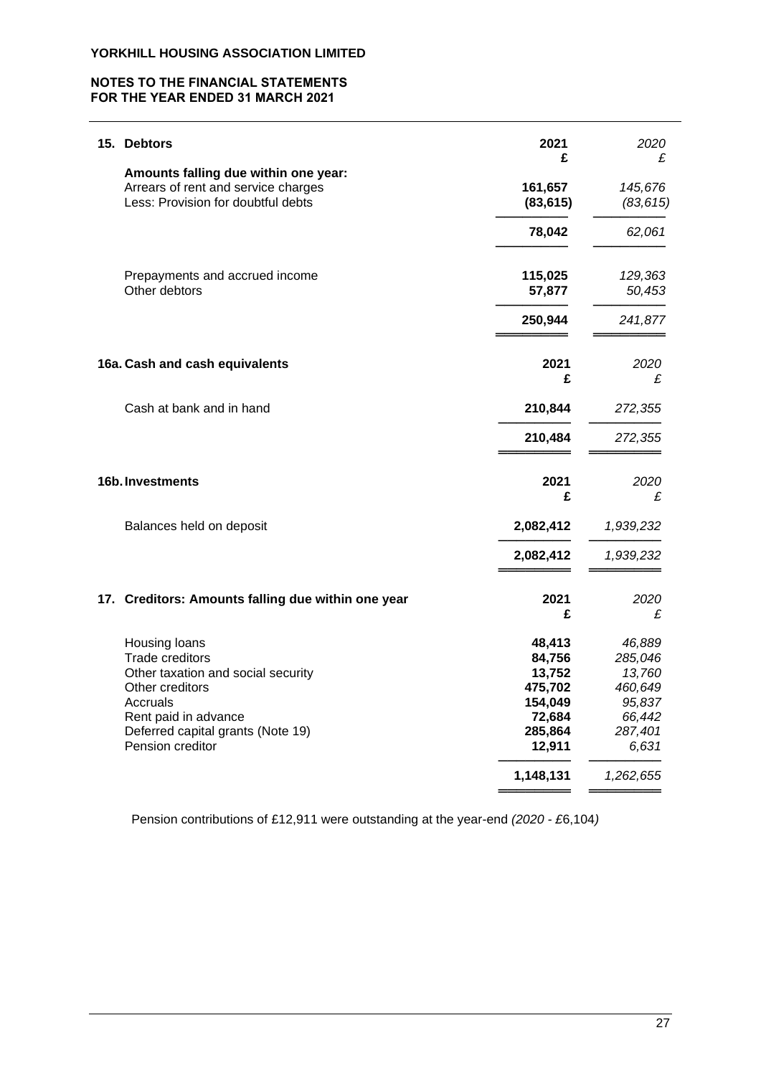## **NOTES TO THE FINANCIAL STATEMENTS FOR THE YEAR ENDED 31 MARCH 2021**

| 15. Debtors                                                                                                                                                                            | 2021<br>£                                                                       | 2020<br>£                                                                      |
|----------------------------------------------------------------------------------------------------------------------------------------------------------------------------------------|---------------------------------------------------------------------------------|--------------------------------------------------------------------------------|
| Amounts falling due within one year:<br>Arrears of rent and service charges<br>Less: Provision for doubtful debts                                                                      | 161,657<br>(83, 615)                                                            | 145,676<br>(83, 615)                                                           |
|                                                                                                                                                                                        | 78,042                                                                          | 62,061                                                                         |
| Prepayments and accrued income<br>Other debtors                                                                                                                                        | 115,025<br>57,877                                                               | 129,363<br>50,453                                                              |
|                                                                                                                                                                                        | 250,944                                                                         | 241,877                                                                        |
| 16a. Cash and cash equivalents                                                                                                                                                         | 2021<br>£                                                                       | 2020<br>£                                                                      |
| Cash at bank and in hand                                                                                                                                                               | 210,844                                                                         | 272,355                                                                        |
|                                                                                                                                                                                        | 210,484                                                                         | 272,355                                                                        |
| 16b. Investments                                                                                                                                                                       | 2021<br>£                                                                       | 2020<br>£                                                                      |
| Balances held on deposit                                                                                                                                                               | 2,082,412                                                                       | 1,939,232                                                                      |
|                                                                                                                                                                                        | 2,082,412                                                                       | 1,939,232                                                                      |
| 17. Creditors: Amounts falling due within one year                                                                                                                                     | 2021<br>£                                                                       | 2020<br>£                                                                      |
| Housing loans<br>Trade creditors<br>Other taxation and social security<br>Other creditors<br>Accruals<br>Rent paid in advance<br>Deferred capital grants (Note 19)<br>Pension creditor | 48,413<br>84,756<br>13,752<br>475,702<br>154,049<br>72,684<br>285,864<br>12,911 | 46,889<br>285,046<br>13,760<br>460,649<br>95,837<br>66,442<br>287,401<br>6,631 |
|                                                                                                                                                                                        | 1,148,131                                                                       | 1,262,655                                                                      |

Pension contributions of £12,911 were outstanding at the year-end *(2020 - £*6,104*)*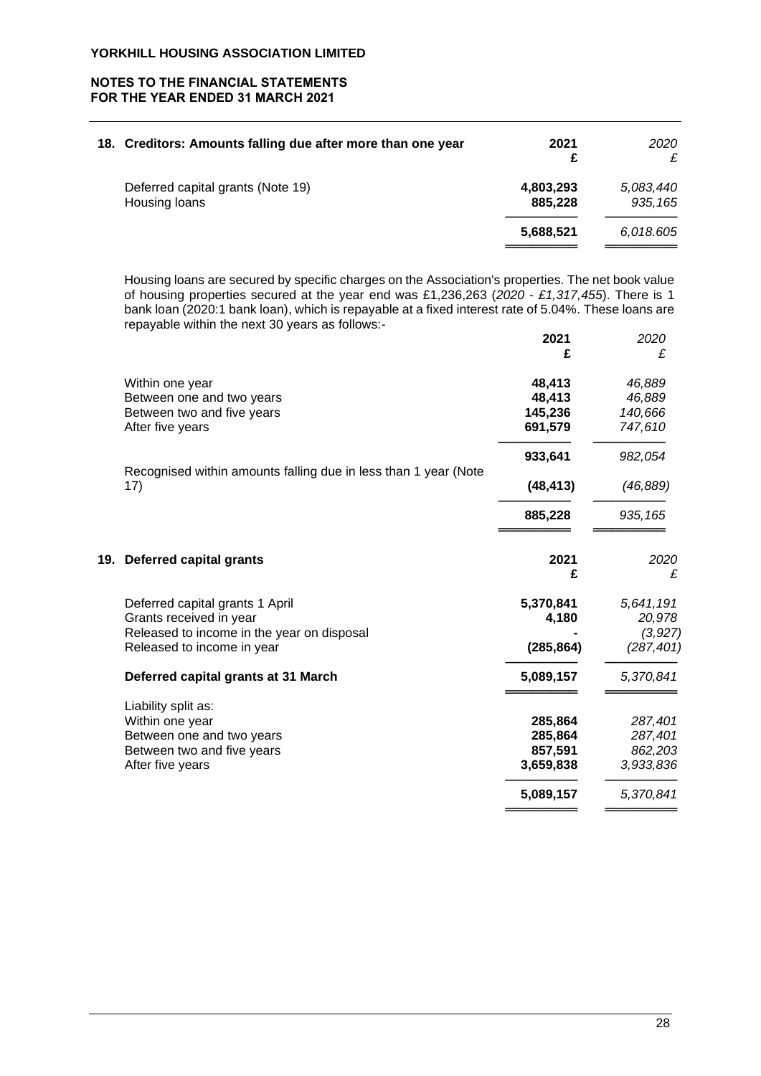## **NOTES TO THE FINANCIAL STATEMENTS FOR THE YEAR ENDED 31 MARCH 2021**

| 18. Creditors: Amounts falling due after more than one year | 2021<br>£            | 2020<br>£             |
|-------------------------------------------------------------|----------------------|-----------------------|
| Deferred capital grants (Note 19)<br>Housing loans          | 4,803,293<br>885,228 | 5,083,440<br>935, 165 |
|                                                             | 5,688,521            | 6,018.605             |

Housing loans are secured by specific charges on the Association's properties. The net book value of housing properties secured at the year end was £1,236,263 (*2020 - £1,317,455*). There is 1 bank loan (2020:1 bank loan), which is repayable at a fixed interest rate of 5.04%. These loans are repayable within the next 30 years as follows:-

|     |                                                                 | 2021       | 2020       |
|-----|-----------------------------------------------------------------|------------|------------|
|     |                                                                 | £          | £          |
|     | Within one year                                                 | 48,413     | 46,889     |
|     | Between one and two years                                       | 48,413     | 46,889     |
|     | Between two and five years                                      | 145,236    | 140,666    |
|     | After five years                                                | 691,579    | 747,610    |
|     |                                                                 | 933,641    | 982,054    |
|     | Recognised within amounts falling due in less than 1 year (Note |            |            |
|     | 17)                                                             | (48, 413)  | (46, 889)  |
|     |                                                                 | 885,228    | 935, 165   |
| 19. | <b>Deferred capital grants</b>                                  | 2021       | 2020       |
|     |                                                                 | £          | £          |
|     | Deferred capital grants 1 April                                 | 5,370,841  | 5,641,191  |
|     | Grants received in year                                         | 4,180      | 20,978     |
|     | Released to income in the year on disposal                      |            | (3, 927)   |
|     | Released to income in year                                      | (285, 864) | (287, 401) |
|     | Deferred capital grants at 31 March                             | 5,089,157  | 5,370,841  |
|     | Liability split as:                                             |            |            |
|     | Within one year                                                 | 285,864    | 287,401    |
|     | Between one and two years                                       | 285,864    | 287,401    |
|     | Between two and five years                                      | 857,591    | 862,203    |
|     | After five years                                                | 3,659,838  | 3,933,836  |
|     |                                                                 | 5,089,157  | 5,370,841  |
|     |                                                                 |            |            |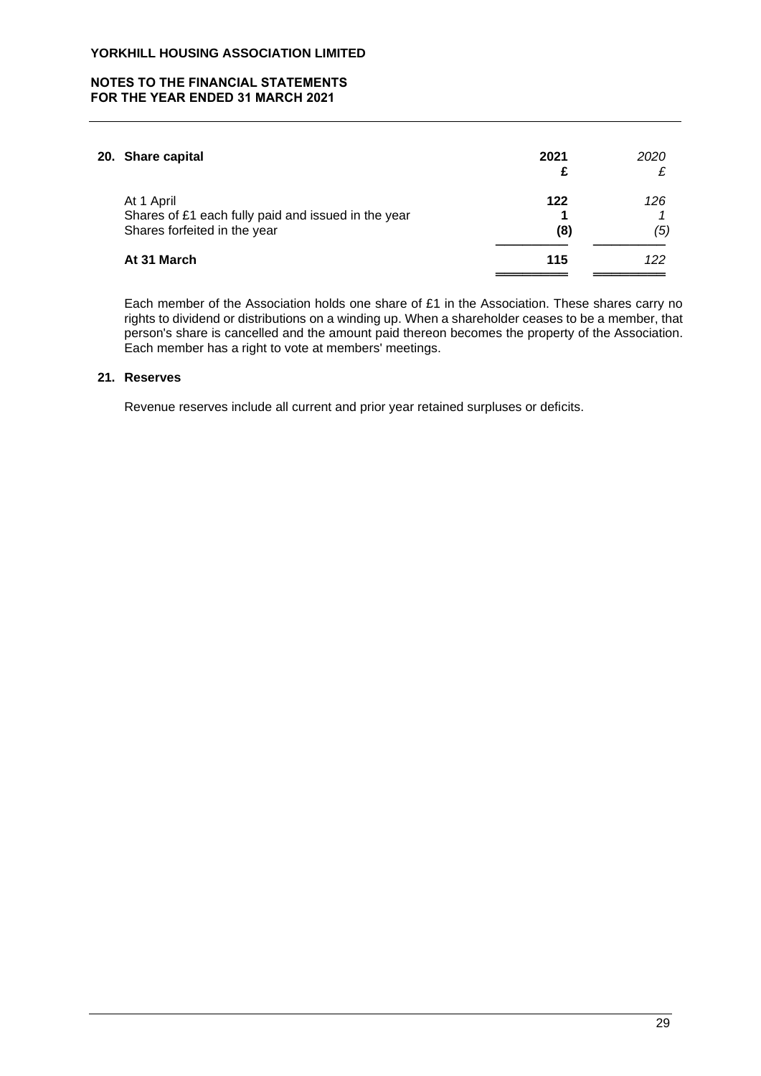## **NOTES TO THE FINANCIAL STATEMENTS FOR THE YEAR ENDED 31 MARCH 2021**

| 20. Share capital                                                                                 | 2021       | 2020<br>₽  |
|---------------------------------------------------------------------------------------------------|------------|------------|
| At 1 April<br>Shares of £1 each fully paid and issued in the year<br>Shares forfeited in the year | 122<br>(8) | 126<br>(5) |
| At 31 March                                                                                       | 115        | 122        |

Each member of the Association holds one share of £1 in the Association. These shares carry no rights to dividend or distributions on a winding up. When a shareholder ceases to be a member, that person's share is cancelled and the amount paid thereon becomes the property of the Association. Each member has a right to vote at members' meetings.

## **21. Reserves**

Revenue reserves include all current and prior year retained surpluses or deficits.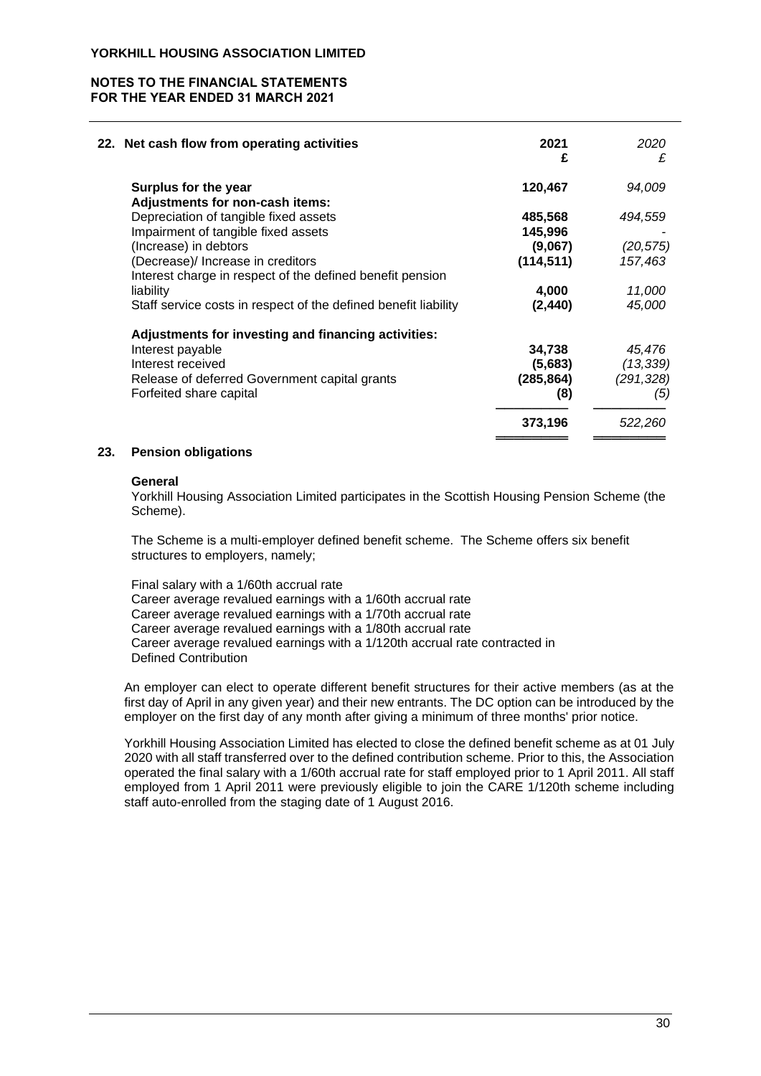## **NOTES TO THE FINANCIAL STATEMENTS FOR THE YEAR ENDED 31 MARCH 2021**

| 94,009     |
|------------|
|            |
|            |
| 494,559    |
|            |
| (20, 575)  |
| 157,463    |
|            |
| 11,000     |
| 45,000     |
|            |
| 45.476     |
| (13, 339)  |
| (291, 328) |
| (5)        |
| 522,260    |
|            |

#### **23. Pension obligations**

#### **General**

Yorkhill Housing Association Limited participates in the Scottish Housing Pension Scheme (the Scheme).

The Scheme is a multi-employer defined benefit scheme. The Scheme offers six benefit structures to employers, namely;

Final salary with a 1/60th accrual rate Career average revalued earnings with a 1/60th accrual rate Career average revalued earnings with a 1/70th accrual rate Career average revalued earnings with a 1/80th accrual rate Career average revalued earnings with a 1/120th accrual rate contracted in Defined Contribution

An employer can elect to operate different benefit structures for their active members (as at the first day of April in any given year) and their new entrants. The DC option can be introduced by the employer on the first day of any month after giving a minimum of three months' prior notice.

Yorkhill Housing Association Limited has elected to close the defined benefit scheme as at 01 July 2020 with all staff transferred over to the defined contribution scheme. Prior to this, the Association operated the final salary with a 1/60th accrual rate for staff employed prior to 1 April 2011. All staff employed from 1 April 2011 were previously eligible to join the CARE 1/120th scheme including staff auto-enrolled from the staging date of 1 August 2016.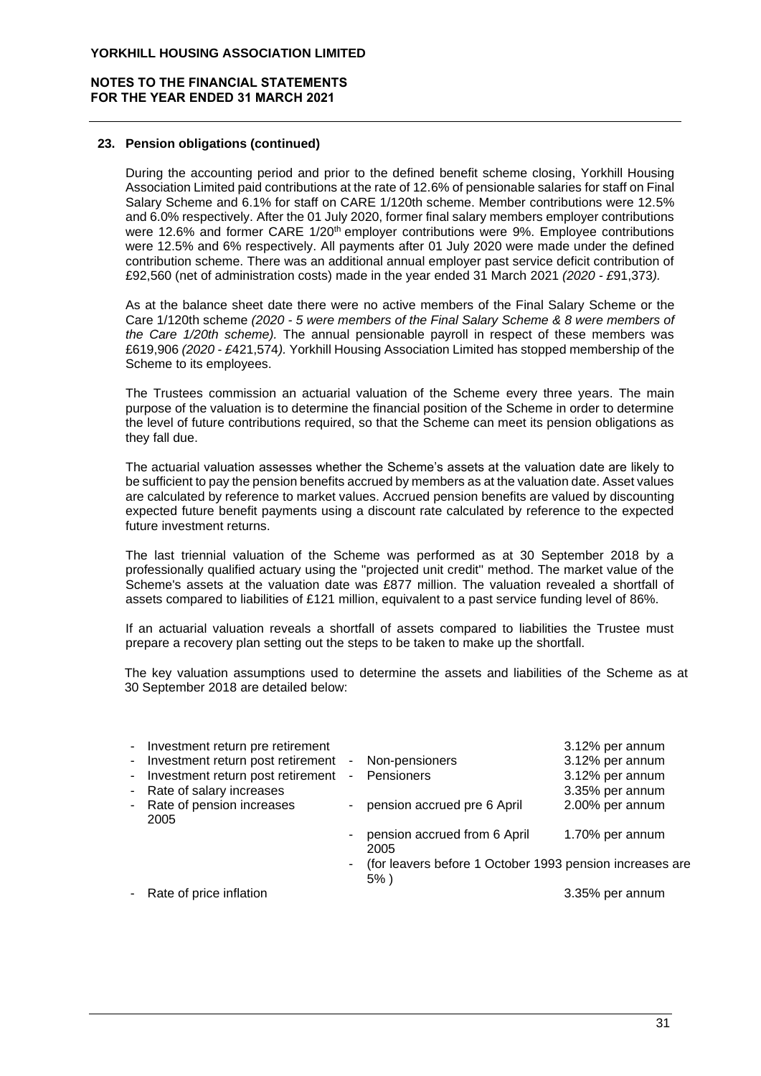## **NOTES TO THE FINANCIAL STATEMENTS FOR THE YEAR ENDED 31 MARCH 2021**

#### **23. Pension obligations (continued)**

During the accounting period and prior to the defined benefit scheme closing, Yorkhill Housing Association Limited paid contributions at the rate of 12.6% of pensionable salaries for staff on Final Salary Scheme and 6.1% for staff on CARE 1/120th scheme. Member contributions were 12.5% and 6.0% respectively. After the 01 July 2020, former final salary members employer contributions were 12.6% and former CARE 1/20<sup>th</sup> employer contributions were 9%. Employee contributions were 12.5% and 6% respectively. All payments after 01 July 2020 were made under the defined contribution scheme. There was an additional annual employer past service deficit contribution of £92,560 (net of administration costs) made in the year ended 31 March 2021 *(2020 - £*91,373*).*

As at the balance sheet date there were no active members of the Final Salary Scheme or the Care 1/120th scheme *(2020 - 5 were members of the Final Salary Scheme & 8 were members of the Care 1/20th scheme).* The annual pensionable payroll in respect of these members was £619,906 *(2020 - £*421,574*).* Yorkhill Housing Association Limited has stopped membership of the Scheme to its employees.

The Trustees commission an actuarial valuation of the Scheme every three years. The main purpose of the valuation is to determine the financial position of the Scheme in order to determine the level of future contributions required, so that the Scheme can meet its pension obligations as they fall due.

The actuarial valuation assesses whether the Scheme's assets at the valuation date are likely to be sufficient to pay the pension benefits accrued by members as at the valuation date. Asset values are calculated by reference to market values. Accrued pension benefits are valued by discounting expected future benefit payments using a discount rate calculated by reference to the expected future investment returns.

The last triennial valuation of the Scheme was performed as at 30 September 2018 by a professionally qualified actuary using the ''projected unit credit'' method. The market value of the Scheme's assets at the valuation date was £877 million. The valuation revealed a shortfall of assets compared to liabilities of £121 million, equivalent to a past service funding level of 86%.

If an actuarial valuation reveals a shortfall of assets compared to liabilities the Trustee must prepare a recovery plan setting out the steps to be taken to make up the shortfall.

The key valuation assumptions used to determine the assets and liabilities of the Scheme as at 30 September 2018 are detailed below:

| - Investment return pre retirement  |                |                                                                       | 3.12% per annum |
|-------------------------------------|----------------|-----------------------------------------------------------------------|-----------------|
| - Investment return post retirement |                | - Non-pensioners                                                      | 3.12% per annum |
| - Investment return post retirement | $\sim$         | Pensioners                                                            | 3.12% per annum |
| - Rate of salary increases          |                |                                                                       | 3.35% per annum |
| - Rate of pension increases<br>2005 |                | - pension accrued pre 6 April                                         | 2.00% per annum |
|                                     | $\blacksquare$ | pension accrued from 6 April<br>2005                                  | 1.70% per annum |
|                                     |                | - (for leavers before 1 October 1993 pension increases are<br>$5\%$ ) |                 |
| - Rate of price inflation           |                |                                                                       | 3.35% per annum |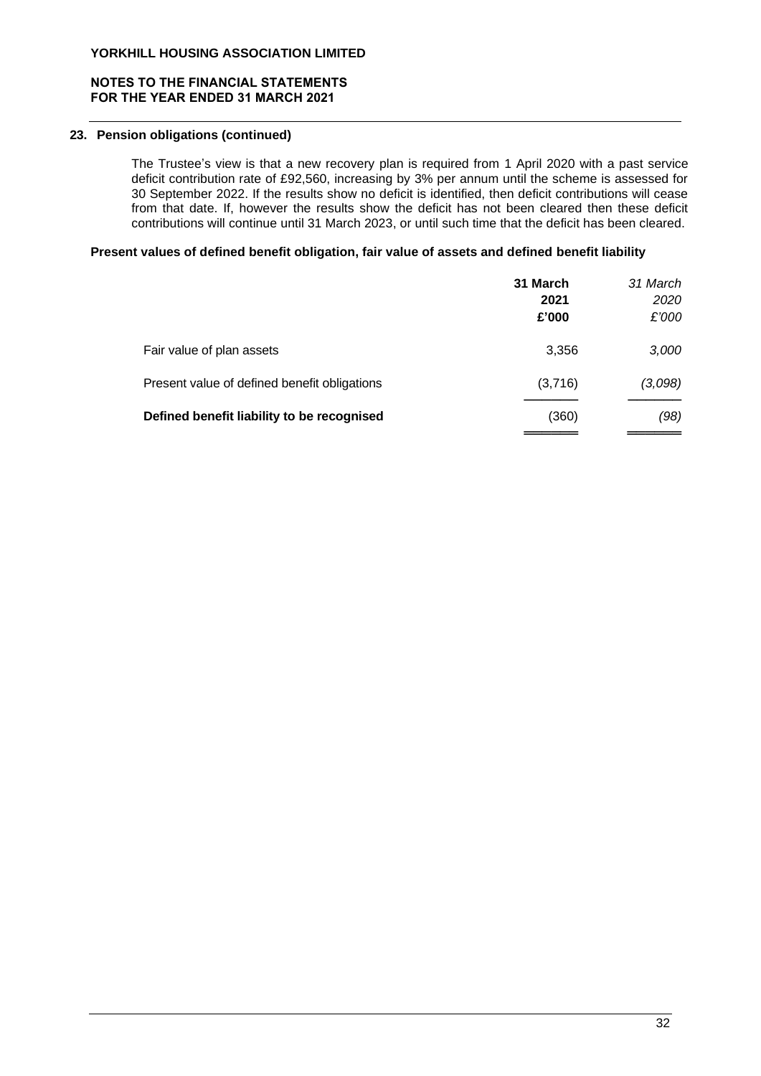# **NOTES TO THE FINANCIAL STATEMENTS FOR THE YEAR ENDED 31 MARCH 2021**

# **23. Pension obligations (continued)**

The Trustee's view is that a new recovery plan is required from 1 April 2020 with a past service deficit contribution rate of £92,560, increasing by 3% per annum until the scheme is assessed for 30 September 2022. If the results show no deficit is identified, then deficit contributions will cease from that date. If, however the results show the deficit has not been cleared then these deficit contributions will continue until 31 March 2023, or until such time that the deficit has been cleared.

#### **Present values of defined benefit obligation, fair value of assets and defined benefit liability**

|                                              | 31 March<br>2021<br>£'000 | 31 March<br>2020<br>£'000 |
|----------------------------------------------|---------------------------|---------------------------|
| Fair value of plan assets                    | 3,356                     | 3,000                     |
| Present value of defined benefit obligations | (3,716)                   | (3,098)                   |
| Defined benefit liability to be recognised   | (360)                     | (98)                      |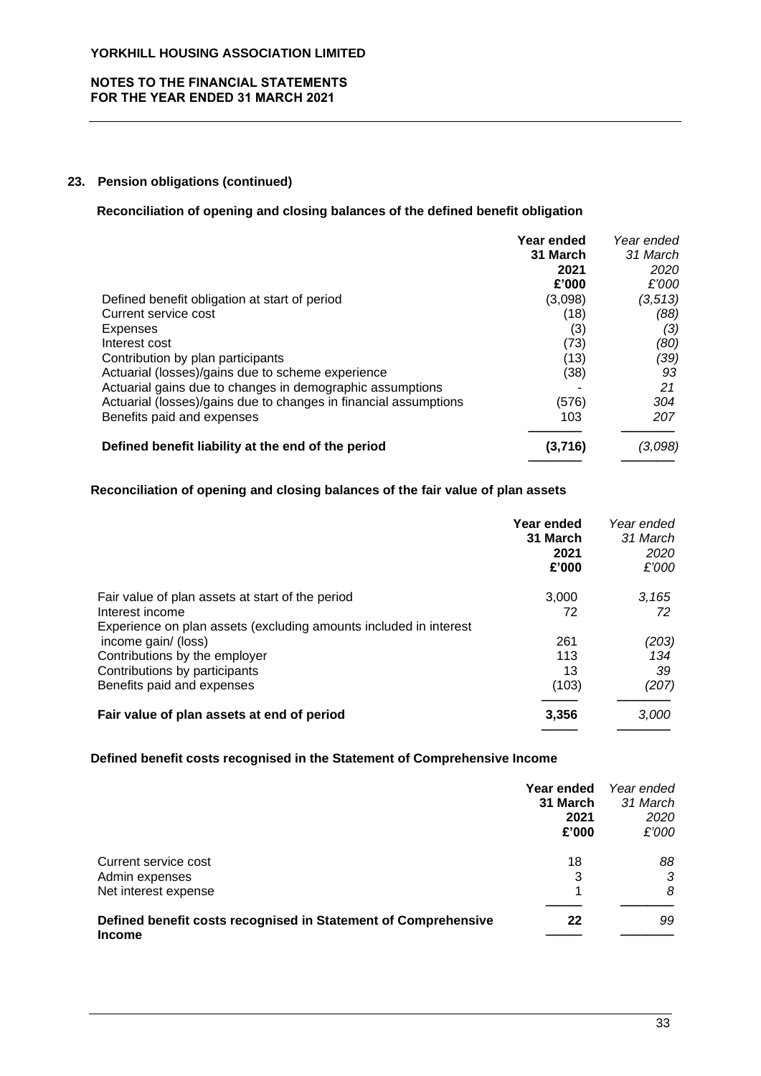## **NOTES TO THE FINANCIAL STATEMENTS FOR THE YEAR ENDED 31 MARCH 2021**

# **23. Pension obligations (continued)**

#### **Reconciliation of opening and closing balances of the defined benefit obligation**

|                                                                  | Year ended<br>31 March<br>2021<br>£'000 | Year ended<br>31 March<br>2020<br>£'000 |
|------------------------------------------------------------------|-----------------------------------------|-----------------------------------------|
| Defined benefit obligation at start of period                    | (3,098)                                 | (3, 513)                                |
| Current service cost                                             | (18)                                    | (88)                                    |
| Expenses                                                         | (3)                                     | (3)                                     |
| Interest cost                                                    | (73)                                    | (80)                                    |
| Contribution by plan participants                                | (13)                                    | (39)                                    |
| Actuarial (losses)/gains due to scheme experience                | (38)                                    | 93                                      |
| Actuarial gains due to changes in demographic assumptions        |                                         | 21                                      |
| Actuarial (losses)/gains due to changes in financial assumptions | (576)                                   | 304                                     |
| Benefits paid and expenses                                       | 103                                     | 207                                     |
| Defined benefit liability at the end of the period               | (3,716)                                 | (3,098)                                 |

# **Reconciliation of opening and closing balances of the fair value of plan assets**

|                                                                   | Year ended<br>31 March<br>2021<br>£'000 | Year ended<br>31 March<br>2020<br>£'000 |
|-------------------------------------------------------------------|-----------------------------------------|-----------------------------------------|
| Fair value of plan assets at start of the period                  | 3.000                                   | 3.165                                   |
| Interest income                                                   | 72                                      | 72                                      |
| Experience on plan assets (excluding amounts included in interest |                                         |                                         |
| income gain/ (loss)                                               | 261                                     | (203)                                   |
| Contributions by the employer                                     | 113                                     | 134                                     |
| Contributions by participants                                     | 13                                      | 39                                      |
| Benefits paid and expenses                                        | (103)                                   | (207)                                   |
| Fair value of plan assets at end of period                        | 3,356                                   | 3,000                                   |
|                                                                   |                                         |                                         |

#### **Defined benefit costs recognised in the Statement of Comprehensive Income**

|                                                                | Year ended<br>31 March<br>2021<br>£'000 | Year ended<br>31 March<br>2020<br>£'000 |
|----------------------------------------------------------------|-----------------------------------------|-----------------------------------------|
| Current service cost                                           | 18                                      | 88                                      |
| Admin expenses                                                 | 3                                       | 3                                       |
| Net interest expense                                           | $\mathbf 1$                             | 8                                       |
| Defined benefit costs recognised in Statement of Comprehensive | 22                                      | 99                                      |
| <b>Income</b>                                                  |                                         |                                         |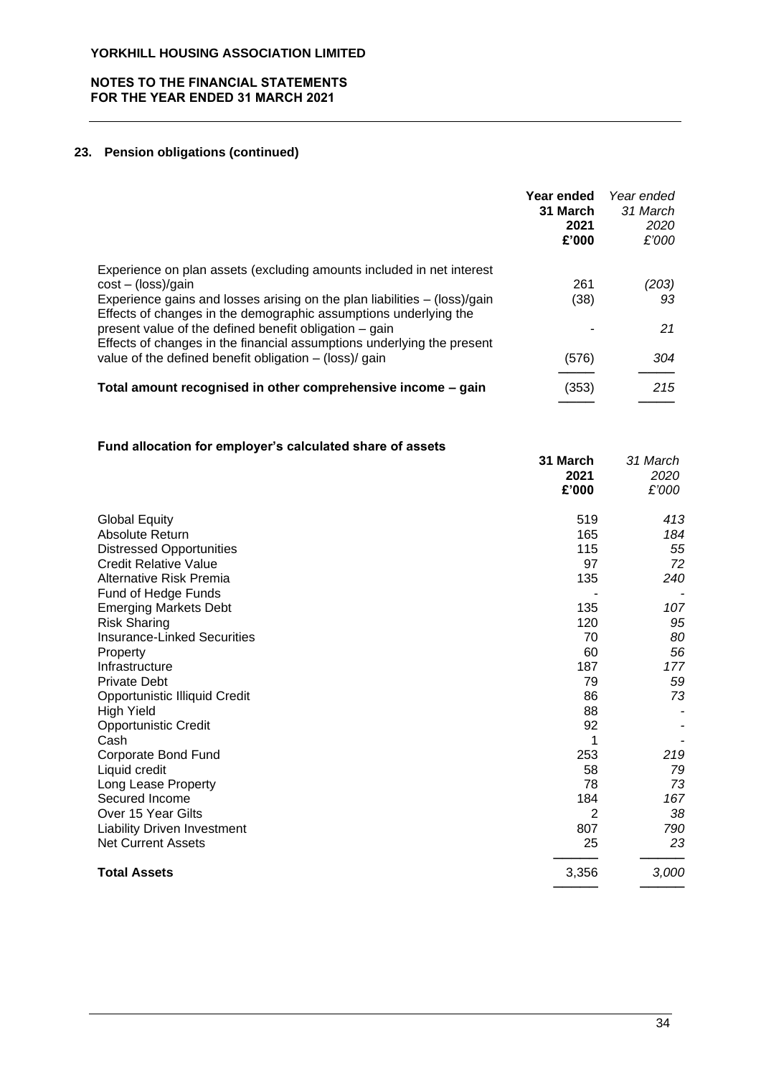## **NOTES TO THE FINANCIAL STATEMENTS FOR THE YEAR ENDED 31 MARCH 2021**

# **23. Pension obligations (continued)**

|                                                                                                                                               | Year ended<br>31 March<br>2021<br>£'000 | Year ended<br>31 March<br>2020<br>£'000 |
|-----------------------------------------------------------------------------------------------------------------------------------------------|-----------------------------------------|-----------------------------------------|
| Experience on plan assets (excluding amounts included in net interest                                                                         |                                         |                                         |
| $cost - (loss)/gain$                                                                                                                          | 261                                     | (203)                                   |
| Experience gains and losses arising on the plan liabilities – (loss)/gain<br>Effects of changes in the demographic assumptions underlying the | (38)                                    | 93                                      |
| present value of the defined benefit obligation – gain<br>Effects of changes in the financial assumptions underlying the present              |                                         | 21                                      |
| value of the defined benefit obligation $-$ (loss)/ gain                                                                                      | (576)                                   | 304                                     |
| Total amount recognised in other comprehensive income - gain                                                                                  | (353)                                   | 215                                     |

# **Fund allocation for employer's calculated share of assets**

| r und anocation for employer 3 calculated share or assets | 31 March<br>2021<br>£'000 | 31 March<br>2020<br>£'000 |
|-----------------------------------------------------------|---------------------------|---------------------------|
| <b>Global Equity</b>                                      | 519                       | 413                       |
| Absolute Return                                           | 165                       | 184                       |
| <b>Distressed Opportunities</b>                           | 115                       | 55                        |
| <b>Credit Relative Value</b>                              | 97                        | 72                        |
| <b>Alternative Risk Premia</b>                            | 135                       | 240                       |
| Fund of Hedge Funds                                       |                           |                           |
| <b>Emerging Markets Debt</b>                              | 135                       | 107                       |
| <b>Risk Sharing</b>                                       | 120                       | 95                        |
| <b>Insurance-Linked Securities</b>                        | 70                        | 80                        |
| Property                                                  | 60                        | 56                        |
| Infrastructure                                            | 187                       | 177                       |
| <b>Private Debt</b>                                       | 79                        | 59                        |
| <b>Opportunistic Illiquid Credit</b>                      | 86                        | 73                        |
| <b>High Yield</b>                                         | 88                        |                           |
| <b>Opportunistic Credit</b>                               | 92                        |                           |
| Cash                                                      |                           |                           |
| Corporate Bond Fund                                       | 253                       | 219                       |
| Liquid credit                                             | 58                        | 79                        |
| Long Lease Property                                       | 78                        | 73                        |
| Secured Income                                            | 184                       | 167                       |
| Over 15 Year Gilts                                        | 2                         | 38                        |
| <b>Liability Driven Investment</b>                        | 807                       | 790                       |
| <b>Net Current Assets</b>                                 | 25                        | 23                        |
| <b>Total Assets</b>                                       | 3,356                     | 3,000                     |
|                                                           |                           |                           |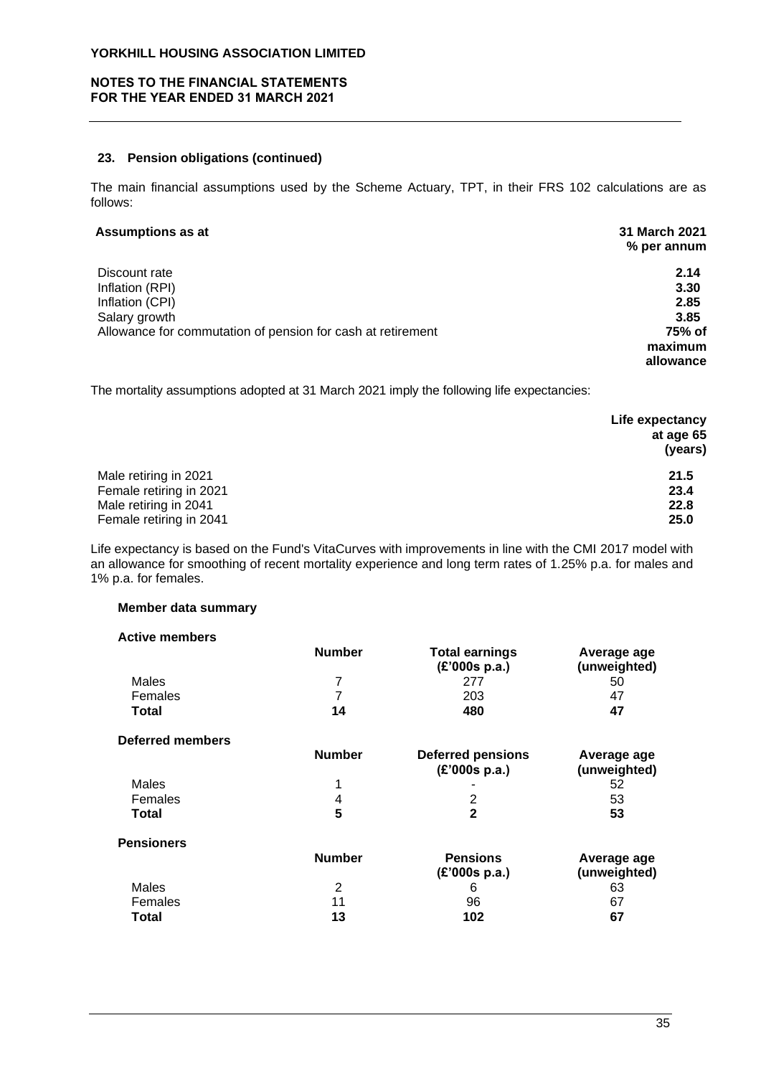## **NOTES TO THE FINANCIAL STATEMENTS FOR THE YEAR ENDED 31 MARCH 2021**

#### **23. Pension obligations (continued)**

The main financial assumptions used by the Scheme Actuary, TPT, in their FRS 102 calculations are as follows:

# **Assumptions as at 31 March 2021**

|                                                             | % per annum |
|-------------------------------------------------------------|-------------|
| Discount rate                                               | 2.14        |
| Inflation (RPI)                                             | 3.30        |
| Inflation (CPI)                                             | 2.85        |
| Salary growth                                               | 3.85        |
| Allowance for commutation of pension for cash at retirement | 75% of      |
|                                                             | maximum     |
|                                                             | allowance   |

The mortality assumptions adopted at 31 March 2021 imply the following life expectancies:

|                         | Life expectancy |
|-------------------------|-----------------|
|                         | at age 65       |
|                         | (years)         |
| Male retiring in 2021   | 21.5            |
| Female retiring in 2021 | 23.4            |
| Male retiring in 2041   | 22.8            |
| Female retiring in 2041 | 25.0            |

Life expectancy is based on the Fund's VitaCurves with improvements in line with the CMI 2017 model with an allowance for smoothing of recent mortality experience and long term rates of 1.25% p.a. for males and 1% p.a. for females.

# **Member data summary**

| <b>Active members</b>   |               |                                        |                             |
|-------------------------|---------------|----------------------------------------|-----------------------------|
|                         | <b>Number</b> | <b>Total earnings</b><br>(E'000s p.a.) | Average age<br>(unweighted) |
| Males                   | 7             | 277                                    | 50                          |
| Females                 | 7             | 203                                    | 47                          |
| Total                   | 14            | 480                                    | 47                          |
| <b>Deferred members</b> |               |                                        |                             |
|                         | <b>Number</b> | <b>Deferred pensions</b>               | Average age                 |
|                         |               | (E'000s p.a.)                          | (unweighted)                |
| Males                   | 1             |                                        | 52                          |
| Females                 | 4             | 2                                      | 53                          |
| <b>Total</b>            | 5             | $\mathbf{2}$                           | 53                          |
| <b>Pensioners</b>       |               |                                        |                             |
|                         | <b>Number</b> | <b>Pensions</b>                        | Average age                 |
|                         |               | (E'000s p.a.)                          | (unweighted)                |
| Males                   | 2             | 6                                      | 63                          |
| Females                 | 11            | 96                                     | 67                          |
| Total                   | 13            | 102                                    | 67                          |